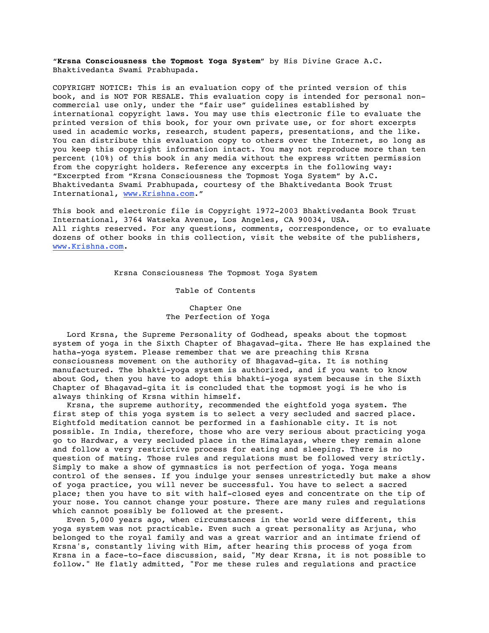"**Krsna Consciousness the Topmost Yoga System**" by His Divine Grace A.C. Bhaktivedanta Swami Prabhupada.

COPYRIGHT NOTICE: This is an evaluation copy of the printed version of this book, and is NOT FOR RESALE. This evaluation copy is intended for personal noncommercial use only, under the "fair use" guidelines established by international copyright laws. You may use this electronic file to evaluate the printed version of this book, for your own private use, or for short excerpts used in academic works, research, student papers, presentations, and the like. You can distribute this evaluation copy to others over the Internet, so long as you keep this copyright information intact. You may not reproduce more than ten percent (10%) of this book in any media without the express written permission from the copyright holders. Reference any excerpts in the following way: "Excerpted from "Krsna Consciousness the Topmost Yoga System" by A.C. Bhaktivedanta Swami Prabhupada, courtesy of the Bhaktivedanta Book Trust International, www.Krishna.com."

This book and electronic file is Copyright 1972-2003 Bhaktivedanta Book Trust International, 3764 Watseka Avenue, Los Angeles, CA 90034, USA. All rights reserved. For any questions, comments, correspondence, or to evaluate dozens of other books in this collection, visit the website of the publishers, www.Krishna.com.

Krsna Consciousness The Topmost Yoga System

Table of Contents

 Chapter One The Perfection of Yoga

 Lord Krsna, the Supreme Personality of Godhead, speaks about the topmost system of yoga in the Sixth Chapter of Bhagavad-gita. There He has explained the hatha-yoga system. Please remember that we are preaching this Krsna consciousness movement on the authority of Bhagavad-gita. It is nothing manufactured. The bhakti-yoga system is authorized, and if you want to know about God, then you have to adopt this bhakti-yoga system because in the Sixth Chapter of Bhagavad-gita it is concluded that the topmost yogi is he who is always thinking of Krsna within himself.

 Krsna, the supreme authority, recommended the eightfold yoga system. The first step of this yoga system is to select a very secluded and sacred place. Eightfold meditation cannot be performed in a fashionable city. It is not possible. In India, therefore, those who are very serious about practicing yoga go to Hardwar, a very secluded place in the Himalayas, where they remain alone and follow a very restrictive process for eating and sleeping. There is no question of mating. Those rules and regulations must be followed very strictly. Simply to make a show of gymnastics is not perfection of yoga. Yoga means control of the senses. If you indulge your senses unrestrictedly but make a show of yoga practice, you will never be successful. You have to select a sacred place; then you have to sit with half-closed eyes and concentrate on the tip of your nose. You cannot change your posture. There are many rules and regulations which cannot possibly be followed at the present.

 Even 5,000 years ago, when circumstances in the world were different, this yoga system was not practicable. Even such a great personality as Arjuna, who belonged to the royal family and was a great warrior and an intimate friend of Krsna's, constantly living with Him, after hearing this process of yoga from Krsna in a face-to-face discussion, said, "My dear Krsna, it is not possible to follow." He flatly admitted, "For me these rules and regulations and practice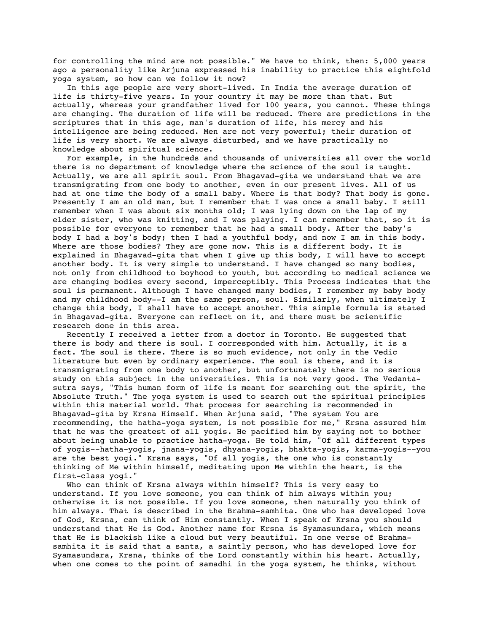for controlling the mind are not possible." We have to think, then: 5,000 years ago a personality like Arjuna expressed his inability to practice this eightfold yoga system, so how can we follow it now?

 In this age people are very short-lived. In India the average duration of life is thirty-five years. In your country it may be more than that. But actually, whereas your grandfather lived for 100 years, you cannot. These things are changing. The duration of life will be reduced. There are predictions in the scriptures that in this age, man's duration of life, his mercy and his intelligence are being reduced. Men are not very powerful; their duration of life is very short. We are always disturbed, and we have practically no knowledge about spiritual science.

 For example, in the hundreds and thousands of universities all over the world there is no department of knowledge where the science of the soul is taught. Actually, we are all spirit soul. From Bhagavad-gita we understand that we are transmigrating from one body to another, even in our present lives. All of us had at one time the body of a small baby. Where is that body? That body is gone. Presently I am an old man, but I remember that I was once a small baby. I still remember when I was about six months old; I was lying down on the lap of my elder sister, who was knitting, and I was playing. I can remember that, so it is possible for everyone to remember that he had a small body. After the baby's body I had a boy's body; then I had a youthful body, and now I am in this body. Where are those bodies? They are gone now. This is a different body. It is explained in Bhagavad-gita that when I give up this body, I will have to accept another body. It is very simple to understand. I have changed so many bodies, not only from childhood to boyhood to youth, but according to medical science we are changing bodies every second, imperceptibly. This Process indicates that the soul is permanent. Although I have changed many bodies, I remember my baby body and my childhood body--I am the same person, soul. Similarly, when ultimately I change this body, I shall have to accept another. This simple formula is stated in Bhagavad-gita. Everyone can reflect on it, and there must be scientific research done in this area.

 Recently I received a letter from a doctor in Toronto. He suggested that there is body and there is soul. I corresponded with him. Actually, it is a fact. The soul is there. There is so much evidence, not only in the Vedic literature but even by ordinary experience. The soul is there, and it is transmigrating from one body to another, but unfortunately there is no serious study on this subject in the universities. This is not very good. The Vedantasutra says, "This human form of life is meant for searching out the spirit, the Absolute Truth." The yoga system is used to search out the spiritual principles within this material world. That process for searching is recommended in Bhagavad-gita by Krsna Himself. When Arjuna said, "The system You are recommending, the hatha-yoga system, is not possible for me," Krsna assured him that he was the greatest of all yogis. He pacified him by saying not to bother about being unable to practice hatha-yoga. He told him, "Of all different types of yogis--hatha-yogis, jnana-yogis, dhyana-yogis, bhakta-yogis, karma-yogis--you are the best yogi." Krsna says, "Of all yogis, the one who is constantly thinking of Me within himself, meditating upon Me within the heart, is the first-class yogi."

 Who can think of Krsna always within himself? This is very easy to understand. If you love someone, you can think of him always within you; otherwise it is not possible. If you love someone, then naturally you think of him always. That is described in the Brahma-samhita. One who has developed love of God, Krsna, can think of Him constantly. When I speak of Krsna you should understand that He is God. Another name for Krsna is Syamasundara, which means that He is blackish like a cloud but very beautiful. In one verse of Brahmasamhita it is said that a santa, a saintly person, who has developed love for Syamasundara, Krsna, thinks of the Lord constantly within his heart. Actually, when one comes to the point of samadhi in the yoga system, he thinks, without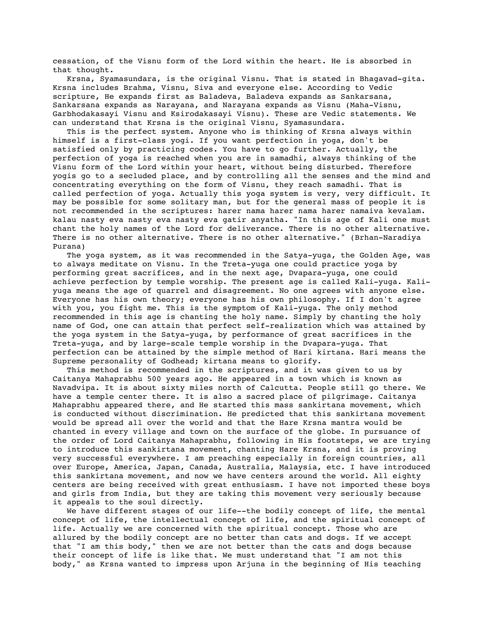cessation, of the Visnu form of the Lord within the heart. He is absorbed in that thought.

 Krsna, Syamasundara, is the original Visnu. That is stated in Bhagavad-gita. Krsna includes Brahma, Visnu, Siva and everyone else. According to Vedic scripture, He expands first as Baladeva, Baladeva expands as Sankarsana, Sankarsana expands as Narayana, and Narayana expands as Visnu (Maha-Visnu, Garbhodakasayi Visnu and Ksirodakasayi Visnu). These are Vedic statements. We can understand that Krsna is the original Visnu, Syamasundara.

 This is the perfect system. Anyone who is thinking of Krsna always within himself is a first-class yogi. If you want perfection in yoga, don't be satisfied only by practicing codes. You have to go further. Actually, the perfection of yoga is reached when you are in samadhi, always thinking of the Visnu form of the Lord within your heart, without being disturbed. Therefore yogis go to a secluded place, and by controlling all the senses and the mind and concentrating everything on the form of Visnu, they reach samadhi. That is called perfection of yoga. Actually this yoga system is very, very difficult. It may be possible for some solitary man, but for the general mass of people it is not recommended in the scriptures: harer nama harer nama harer namaiva kevalam. kalau nasty eva nasty eva nasty eva gatir anyatha. "In this age of Kali one must chant the holy names of the Lord for deliverance. There is no other alternative. There is no other alternative. There is no other alternative." (Brhan-Naradiya Purana)

 The yoga system, as it was recommended in the Satya-yuga, the Golden Age, was to always meditate on Visnu. In the Treta-yuga one could practice yoga by performing great sacrifices, and in the next age, Dvapara-yuga, one could achieve perfection by temple worship. The present age is called Kali-yuga. Kaliyuga means the age of quarrel and disagreement. No one agrees with anyone else. Everyone has his own theory; everyone has his own philosophy. If I don't agree with you, you fight me. This is the symptom of Kali-yuga. The only method recommended in this age is chanting the holy name. Simply by chanting the holy name of God, one can attain that perfect self-realization which was attained by the yoga system in the Satya-yuga, by performance of great sacrifices in the Treta-yuga, and by large-scale temple worship in the Dvapara-yuga. That perfection can be attained by the simple method of Hari kirtana. Hari means the Supreme personality of Godhead; kirtana means to glorify.

 This method is recommended in the scriptures, and it was given to us by Caitanya Mahaprabhu 500 years ago. He appeared in a town which is known as Navadvipa. It is about sixty miles north of Calcutta. People still go there. We have a temple center there. It is also a sacred place of pilgrimage. Caitanya Mahaprabhu appeared there, and He started this mass sankirtana movement, which is conducted without discrimination. He predicted that this sankirtana movement would be spread all over the world and that the Hare Krsna mantra would be chanted in every village and town on the surface of the globe. In pursuance of the order of Lord Caitanya Mahaprabhu, following in His footsteps, we are trying to introduce this sankirtana movement, chanting Hare Krsna, and it is proving very successful everywhere. I am preaching especially in foreign countries, all over Europe, America, Japan, Canada, Australia, Malaysia, etc. I have introduced this sankirtana movement, and now we have centers around the world. All eighty centers are being received with great enthusiasm. I have not imported these boys and girls from India, but they are taking this movement very seriously because it appeals to the soul directly.

 We have different stages of our life--the bodily concept of life, the mental concept of life, the intellectual concept of life, and the spiritual concept of life. Actually we are concerned with the spiritual concept. Those who are allured by the bodily concept are no better than cats and dogs. If we accept that "I am this body," then we are not better than the cats and dogs because their concept of life is like that. We must understand that "I am not this body," as Krsna wanted to impress upon Arjuna in the beginning of His teaching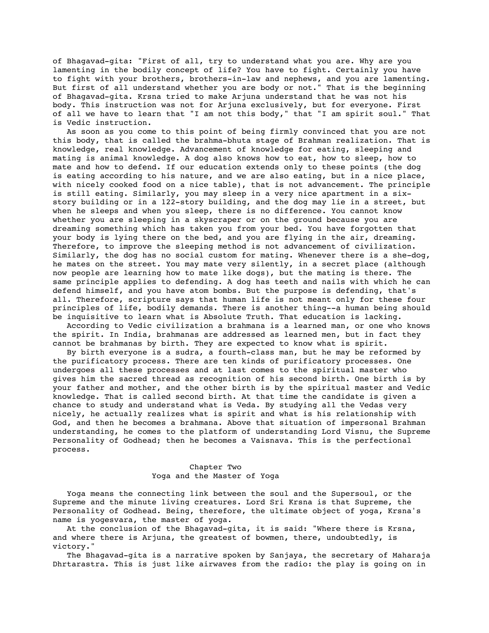of Bhagavad-gita: "First of all, try to understand what you are. Why are you lamenting in the bodily concept of life? You have to fight. Certainly you have to fight with your brothers, brothers-in-law and nephews, and you are lamenting. But first of all understand whether you are body or not." That is the beginning of Bhagavad-gita. Krsna tried to make Arjuna understand that he was not his body. This instruction was not for Arjuna exclusively, but for everyone. First of all we have to learn that "I am not this body," that "I am spirit soul." That is Vedic instruction.

 As soon as you come to this point of being firmly convinced that you are not this body, that is called the brahma-bhuta stage of Brahman realization. That is knowledge, real knowledge. Advancement of knowledge for eating, sleeping and mating is animal knowledge. A dog also knows how to eat, how to sleep, how to mate and how to defend. If our education extends only to these points (the dog is eating according to his nature, and we are also eating, but in a nice place, with nicely cooked food on a nice table), that is not advancement. The principle is still eating. Similarly, you may sleep in a very nice apartment in a sixstory building or in a 122-story building, and the dog may lie in a street, but when he sleeps and when you sleep, there is no difference. You cannot know whether you are sleeping in a skyscraper or on the ground because you are dreaming something which has taken you from your bed. You have forgotten that your body is lying there on the bed, and you are flying in the air, dreaming. Therefore, to improve the sleeping method is not advancement of civilization. Similarly, the dog has no social custom for mating. Whenever there is a she-dog, he mates on the street. You may mate very silently, in a secret place (although now people are learning how to mate like dogs), but the mating is there. The same principle applies to defending. A dog has teeth and nails with which he can defend himself, and you have atom bombs. But the purpose is defending, that's all. Therefore, scripture says that human life is not meant only for these four principles of life, bodily demands. There is another thing--a human being should be inquisitive to learn what is Absolute Truth. That education is lacking.

 According to Vedic civilization a brahmana is a learned man, or one who knows the spirit. In India, brahmanas are addressed as learned men, but in fact they cannot be brahmanas by birth. They are expected to know what is spirit.

 By birth everyone is a sudra, a fourth-class man, but he may be reformed by the purificatory process. There are ten kinds of purificatory processes. One undergoes all these processes and at last comes to the spiritual master who gives him the sacred thread as recognition of his second birth. One birth is by your father and mother, and the other birth is by the spiritual master and Vedic knowledge. That is called second birth. At that time the candidate is given a chance to study and understand what is Veda. By studying all the Vedas very nicely, he actually realizes what is spirit and what is his relationship with God, and then he becomes a brahmana. Above that situation of impersonal Brahman understanding, he comes to the platform of understanding Lord Visnu, the Supreme Personality of Godhead; then he becomes a Vaisnava. This is the perfectional process.

# Chapter Two Yoga and the Master of Yoga

 Yoga means the connecting link between the soul and the Supersoul, or the Supreme and the minute living creatures. Lord Sri Krsna is that Supreme, the Personality of Godhead. Being, therefore, the ultimate object of yoga, Krsna's name is yogesvara, the master of yoga.

 At the conclusion of the Bhagavad-gita, it is said: "Where there is Krsna, and where there is Arjuna, the greatest of bowmen, there, undoubtedly, is victory."

 The Bhagavad-gita is a narrative spoken by Sanjaya, the secretary of Maharaja Dhrtarastra. This is just like airwaves from the radio: the play is going on in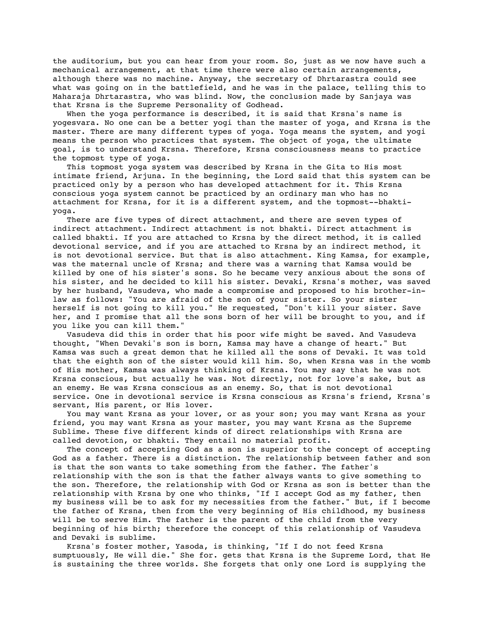the auditorium, but you can hear from your room. So, just as we now have such a mechanical arrangement, at that time there were also certain arrangements, although there was no machine. Anyway, the secretary of Dhrtarastra could see what was going on in the battlefield, and he was in the palace, telling this to Maharaja Dhrtarastra, who was blind. Now, the conclusion made by Sanjaya was that Krsna is the Supreme Personality of Godhead.

 When the yoga performance is described, it is said that Krsna's name is yogesvara. No one can be a better yogi than the master of yoga, and Krsna is the master. There are many different types of yoga. Yoga means the system, and yogi means the person who practices that system. The object of yoga, the ultimate goal, is to understand Krsna. Therefore, Krsna consciousness means to practice the topmost type of yoga.

 This topmost yoga system was described by Krsna in the Gita to His most intimate friend, Arjuna. In the beginning, the Lord said that this system can be practiced only by a person who has developed attachment for it. This Krsna conscious yoga system cannot be practiced by an ordinary man who has no attachment for Krsna, for it is a different system, and the topmost--bhaktiyoga.

 There are five types of direct attachment, and there are seven types of indirect attachment. Indirect attachment is not bhakti. Direct attachment is called bhakti. If you are attached to Krsna by the direct method, it is called devotional service, and if you are attached to Krsna by an indirect method, it is not devotional service. But that is also attachment. King Kamsa, for example, was the maternal uncle of Krsna; and there was a warning that Kamsa would be killed by one of his sister's sons. So he became very anxious about the sons of his sister, and he decided to kill his sister. Devaki, Krsna's mother, was saved by her husband, Vasudeva, who made a compromise and proposed to his brother-inlaw as follows: "You are afraid of the son of your sister. So your sister herself is not going to kill you." He requested, "Don't kill your sister. Save her, and I promise that all the sons born of her will be brought to you, and if you like you can kill them."

 Vasudeva did this in order that his poor wife might be saved. And Vasudeva thought, "When Devaki's son is born, Kamsa may have a change of heart." But Kamsa was such a great demon that he killed all the sons of Devaki. It was told that the eighth son of the sister would kill him. So, when Krsna was in the womb of His mother, Kamsa was always thinking of Krsna. You may say that he was not Krsna conscious, but actually he was. Not directly, not for love's sake, but as an enemy. He was Krsna conscious as an enemy. So, that is not devotional service. One in devotional service is Krsna conscious as Krsna's friend, Krsna's servant, His parent, or His lover.

 You may want Krsna as your lover, or as your son; you may want Krsna as your friend, you may want Krsna as your master, you may want Krsna as the Supreme Sublime. These five different kinds of direct relationships with Krsna are called devotion, or bhakti. They entail no material profit.

 The concept of accepting God as a son is superior to the concept of accepting God as a father. There is a distinction. The relationship between father and son is that the son wants to take something from the father. The father's relationship with the son is that the father always wants to give something to the son. Therefore, the relationship with God or Krsna as son is better than the relationship with Krsna by one who thinks, "If I accept God as my father, then my business will be to ask for my necessities from the father." But, if I become the father of Krsna, then from the very beginning of His childhood, my business will be to serve Him. The father is the parent of the child from the very beginning of his birth; therefore the concept of this relationship of Vasudeva and Devaki is sublime.

 Krsna's foster mother, Yasoda, is thinking, "If I do not feed Krsna sumptuously, He will die." She for. gets that Krsna is the Supreme Lord, that He is sustaining the three worlds. She forgets that only one Lord is supplying the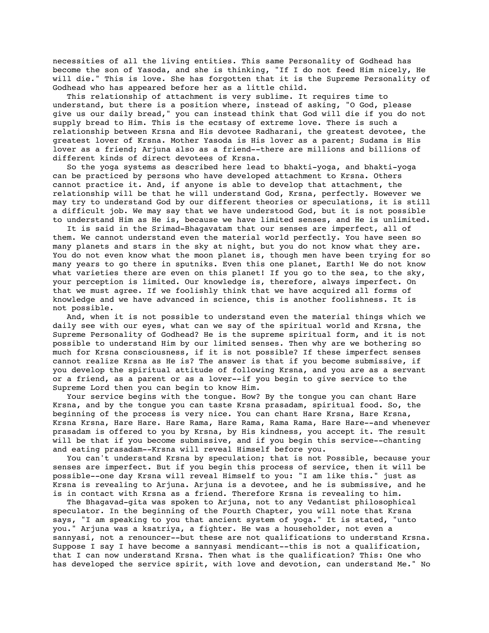necessities of all the living entities. This same Personality of Godhead has become the son of Yasoda, and she is thinking, "If I do not feed Him nicely, He will die." This is love. She has forgotten that it is the Supreme Personality of Godhead who has appeared before her as a little child.

 This relationship of attachment is very sublime. It requires time to understand, but there is a position where, instead of asking, "O God, please give us our daily bread," you can instead think that God will die if you do not supply bread to Him. This is the ecstasy of extreme love. There is such a relationship between Krsna and His devotee Radharani, the greatest devotee, the greatest lover of Krsna. Mother Yasoda is His lover as a parent; Sudama is His lover as a friend; Arjuna also as a friend--there are millions and billions of different kinds of direct devotees of Krsna.

 So the yoga systems as described here lead to bhakti-yoga, and bhakti-yoga can be practiced by persons who have developed attachment to Krsna. Others cannot practice it. And, if anyone is able to develop that attachment, the relationship will be that he will understand God, Krsna, perfectly. However we may try to understand God by our different theories or speculations, it is still a difficult job. We may say that we have understood God, but it is not possible to understand Him as He is, because we have limited senses, and He is unlimited.

 It is said in the Srimad-Bhagavatam that our senses are imperfect, all of them. We cannot understand even the material world perfectly. You have seen so many planets and stars in the sky at night, but you do not know what they are. You do not even know what the moon planet is, though men have been trying for so many years to go there in sputniks. Even this one planet, Earth! We do not know what varieties there are even on this planet! If you go to the sea, to the sky, your perception is limited. Our knowledge is, therefore, always imperfect. On that we must agree. If we foolishly think that we have acquired all forms of knowledge and we have advanced in science, this is another foolishness. It is not possible.

 And, when it is not possible to understand even the material things which we daily see with our eyes, what can we say of the spiritual world and Krsna, the Supreme Personality of Godhead? He is the supreme spiritual form, and it is not possible to understand Him by our limited senses. Then why are we bothering so much for Krsna consciousness, if it is not possible? If these imperfect senses cannot realize Krsna as He is? The answer is that if you become submissive, if you develop the spiritual attitude of following Krsna, and you are as a servant or a friend, as a parent or as a lover--if you begin to give service to the Supreme Lord then you can begin to know Him.

 Your service begins with the tongue. How? By the tongue you can chant Hare Krsna, and by the tongue you can taste Krsna prasadam, spiritual food. So, the beginning of the process is very nice. You can chant Hare Krsna, Hare Krsna, Krsna Krsna, Hare Hare. Hare Rama, Hare Rama, Rama Rama, Hare Hare--and whenever prasadam is offered to you by Krsna, by His kindness, you accept it. The result will be that if you become submissive, and if you begin this service--chanting and eating prasadam--Krsna will reveal Himself before you.

You can't understand Krsna by speculation; that is not Possible, because your senses are imperfect. But if you begin this process of service, then it will be possible--one day Krsna will reveal Himself to you: "I am like this." just as Krsna is revealing to Arjuna. Arjuna is a devotee, and he is submissive, and he is in contact with Krsna as a friend. Therefore Krsna is revealing to him.

 The Bhagavad-gita was spoken to Arjuna, not to any Vedantist philosophical speculator. In the beginning of the Fourth Chapter, you will note that Krsna says, "I am speaking to you that ancient system of yoga." It is stated, "unto you." Arjuna was a ksatriya, a fighter. He was a householder, not even a sannyasi, not a renouncer--but these are not qualifications to understand Krsna. Suppose I say I have become a sannyasi mendicant--this is not a qualification, that I can now understand Krsna. Then what is the qualification? This: One who has developed the service spirit, with love and devotion, can understand Me." No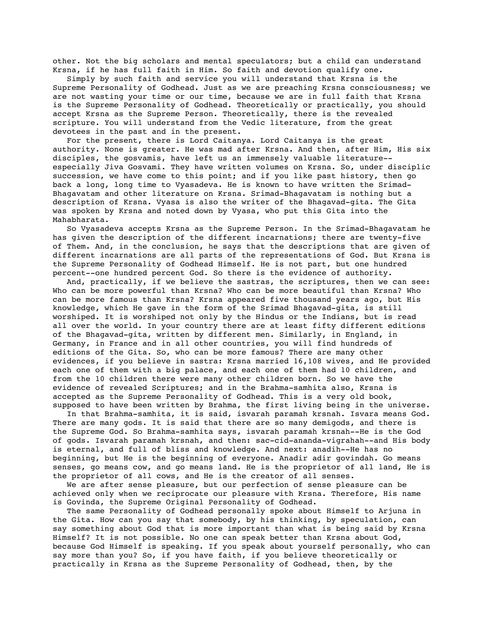other. Not the big scholars and mental speculators; but a child can understand Krsna, if he has full faith in Him. So faith and devotion qualify one.

 Simply by such faith and service you will understand that Krsna is the Supreme Personality of Godhead. Just as we are preaching Krsna consciousness; we are not wasting your time or our time, because we are in full faith that Krsna is the Supreme Personality of Godhead. Theoretically or practically, you should accept Krsna as the Supreme Person. Theoretically, there is the revealed scripture. You will understand from the Vedic literature, from the great devotees in the past and in the present.

 For the present, there is Lord Caitanya. Lord Caitanya is the great authority. None is greater. He was mad after Krsna. And then, after Him, His six disciples, the gosvamis, have left us an immensely valuable literature- especially Jiva Gosvami. They have written volumes on Krsna. So, under disciplic succession, we have come to this point; and if you like past history, then go back a long, long time to Vyasadeva. He is known to have written the Srimad-Bhagavatam and other literature on Krsna. Srimad-Bhagavatam is nothing but a description of Krsna. Vyasa is also the writer of the Bhagavad-gita. The Gita was spoken by Krsna and noted down by Vyasa, who put this Gita into the Mahabharata.

 So Vyasadeva accepts Krsna as the Supreme Person. In the Srimad-Bhagavatam he has given the description of the different incarnations; there are twenty-five of Them. And, in the conclusion, he says that the descriptions that are given of different incarnations are all parts of the representations of God. But Krsna is the Supreme Personality of Godhead Himself. He is not part, but one hundred percent--one hundred percent God. So there is the evidence of authority.

 And, practically, if we believe the sastras, the scriptures, then we can see: Who can be more powerful than Krsna? Who can be more beautiful than Krsna? Who can be more famous than Krsna? Krsna appeared five thousand years ago, but His knowledge, which He gave in the form of the Srimad Bhagavad-gita, is still worshiped. It is worshiped not only by the Hindus or the Indians, but is read all over the world. In your country there are at least fifty different editions of the Bhagavad-gita, written by different men. Similarly, in England, in Germany, in France and in all other countries, you will find hundreds of editions of the Gita. So, who can be more famous? There are many other evidences, if you believe in sastra: Krsna married 16,108 wives, and He provided each one of them with a big palace, and each one of them had 10 children, and from the 10 children there were many other children born. So we have the evidence of revealed Scriptures; and in the Brahma-samhita also, Krsna is accepted as the Supreme Personality of Godhead. This is a very old book, supposed to have been written by Brahma, the first living being in the universe.

 In that Brahma-samhita, it is said, isvarah paramah krsnah. Isvara means God. There are many gods. It is said that there are so many demigods, and there is the Supreme God. So Brahma-samhita says, isvarah paramah krsnah--He is the God of gods. Isvarah paramah krsnah, and then: sac-cid-ananda-vigrahah--and His body is eternal, and full of bliss and knowledge. And next: anadih--He has no beginning, but He is the beginning of everyone. Anadir adir govindah. Go means senses, go means cow, and go means land. He is the proprietor of all land, He is the proprietor of all cows, and He is the creator of all senses.

 We are after sense pleasure, but our perfection of sense pleasure can be achieved only when we reciprocate our pleasure with Krsna. Therefore, His name is Govinda, the Supreme Original Personality of Godhead.

 The same Personality of Godhead personally spoke about Himself to Arjuna in the Gita. How can you say that somebody, by his thinking, by speculation, can say something about God that is more important than what is being said by Krsna Himself? It is not possible. No one can speak better than Krsna about God, because God Himself is speaking. If you speak about yourself personally, who can say more than you? So, if you have faith, if you believe theoretically or practically in Krsna as the Supreme Personality of Godhead, then, by the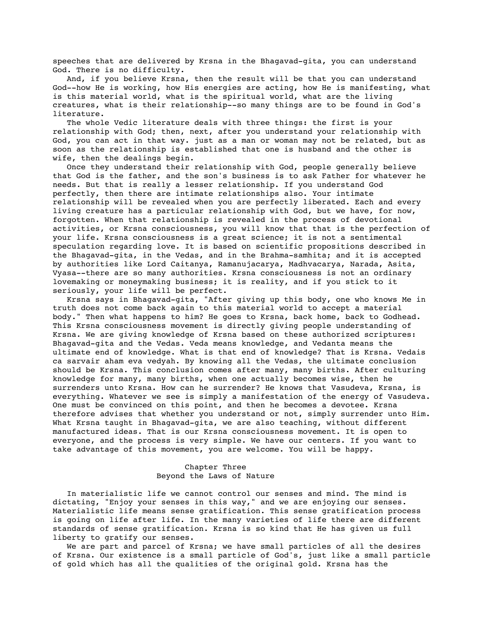speeches that are delivered by Krsna in the Bhagavad-gita, you can understand God. There is no difficulty.

 And, if you believe Krsna, then the result will be that you can understand God--how He is working, how His energies are acting, how He is manifesting, what is this material world, what is the spiritual world, what are the living creatures, what is their relationship--so many things are to be found in God's literature.

 The whole Vedic literature deals with three things: the first is your relationship with God; then, next, after you understand your relationship with God, you can act in that way. just as a man or woman may not be related, but as soon as the relationship is established that one is husband and the other is wife, then the dealings begin.

 Once they understand their relationship with God, people generally believe that God is the father, and the son's business is to ask Father for whatever he needs. But that is really a lesser relationship. If you understand God perfectly, then there are intimate relationships also. Your intimate relationship will be revealed when you are perfectly liberated. Each and every living creature has a particular relationship with God, but we have, for now, forgotten. When that relationship is revealed in the process of devotional activities, or Krsna consciousness, you will know that that is the perfection of your life. Krsna consciousness is a great science; it is not a sentimental speculation regarding love. It is based on scientific propositions described in the Bhagavad-gita, in the Vedas, and in the Brahma-samhita; and it is accepted by authorities like Lord Caitanya, Ramanujacarya, Madhvacarya, Narada, Asita, Vyasa--there are so many authorities. Krsna consciousness is not an ordinary lovemaking or moneymaking business; it is reality, and if you stick to it seriously, your life will be perfect.

 Krsna says in Bhagavad-gita, "After giving up this body, one who knows Me in truth does not come back again to this material world to accept a material body." Then what happens to him? He goes to Krsna, back home, back to Godhead. This Krsna consciousness movement is directly giving people understanding of Krsna. We are giving knowledge of Krsna based on these authorized scriptures: Bhagavad-gita and the Vedas. Veda means knowledge, and Vedanta means the ultimate end of knowledge. What is that end of knowledge? That is Krsna. Vedais ca sarvair aham eva vedyah. By knowing all the Vedas, the ultimate conclusion should be Krsna. This conclusion comes after many, many births. After culturing knowledge for many, many births, when one actually becomes wise, then he surrenders unto Krsna. How can he surrender? He knows that Vasudeva, Krsna, is everything. Whatever we see is simply a manifestation of the energy of Vasudeva. One must be convinced on this point, and then he becomes a devotee. Krsna therefore advises that whether you understand or not, simply surrender unto Him. What Krsna taught in Bhagavad-gita, we are also teaching, without different manufactured ideas. That is our Krsna consciousness movement. It is open to everyone, and the process is very simple. We have our centers. If you want to take advantage of this movement, you are welcome. You will be happy.

#### Chapter Three Beyond the Laws of Nature

 In materialistic life we cannot control our senses and mind. The mind is dictating, "Enjoy your senses in this way," and we are enjoying our senses. Materialistic life means sense gratification. This sense gratification process is going on life after life. In the many varieties of life there are different standards of sense gratification. Krsna is so kind that He has given us full liberty to gratify our senses.

 We are part and parcel of Krsna; we have small particles of all the desires of Krsna. Our existence is a small particle of God's, just like a small particle of gold which has all the qualities of the original gold. Krsna has the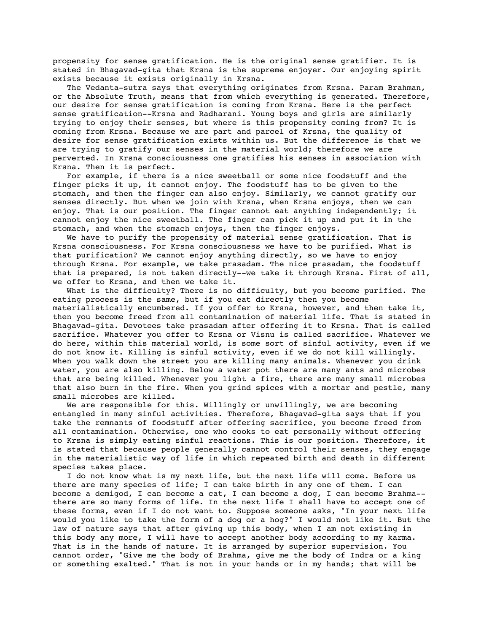propensity for sense gratification. He is the original sense gratifier. It is stated in Bhagavad-gita that Krsna is the supreme enjoyer. Our enjoying spirit exists because it exists originally in Krsna.

The Vedanta-sutra says that everything originates from Krsna. Param Brahman, or the Absolute Truth, means that from which everything is generated. Therefore, our desire for sense gratification is coming from Krsna. Here is the perfect sense gratification--Krsna and Radharani. Young boys and girls are similarly trying to enjoy their senses, but where is this propensity coming from? It is coming from Krsna. Because we are part and parcel of Krsna, the quality of desire for sense gratification exists within us. But the difference is that we are trying to gratify our senses in the material world; therefore we are perverted. In Krsna consciousness one gratifies his senses in association with Krsna. Then it is perfect.

 For example, if there is a nice sweetball or some nice foodstuff and the finger picks it up, it cannot enjoy. The foodstuff has to be given to the stomach, and then the finger can also enjoy. Similarly, we cannot gratify our senses directly. But when we join with Krsna, when Krsna enjoys, then we can enjoy. That is our position. The finger cannot eat anything independently; it cannot enjoy the nice sweetball. The finger can pick it up and put it in the stomach, and when the stomach enjoys, then the finger enjoys.

 We have to purify the propensity of material sense gratification. That is Krsna consciousness. For Krsna consciousness we have to be purified. What is that purification? We cannot enjoy anything directly, so we have to enjoy through Krsna. For example, we take prasadam. The nice prasadam, the foodstuff that is prepared, is not taken directly--we take it through Krsna. First of all, we offer to Krsna, and then we take it.

 What is the difficulty? There is no difficulty, but you become purified. The eating process is the same, but if you eat directly then you become materialistically encumbered. If you offer to Krsna, however, and then take it, then you become freed from all contamination of material life. That is stated in Bhagavad-gita. Devotees take prasadam after offering it to Krsna. That is called sacrifice. Whatever you offer to Krsna or Visnu is called sacrifice. Whatever we do here, within this material world, is some sort of sinful activity, even if we do not know it. Killing is sinful activity, even if we do not kill willingly. When you walk down the street you are killing many animals. Whenever you drink water, you are also killing. Below a water pot there are many ants and microbes that are being killed. Whenever you light a fire, there are many small microbes that also burn in the fire. When you grind spices with a mortar and pestle, many small microbes are killed.

 We are responsible for this. Willingly or unwillingly, we are becoming entangled in many sinful activities. Therefore, Bhagavad-gita says that if you take the remnants of foodstuff after offering sacrifice, you become freed from all contamination. Otherwise, one who cooks to eat personally without offering to Krsna is simply eating sinful reactions. This is our position. Therefore, it is stated that because people generally cannot control their senses, they engage in the materialistic way of life in which repeated birth and death in different species takes place.

 I do not know what is my next life, but the next life will come. Before us there are many species of life; I can take birth in any one of them. I can become a demigod, I can become a cat, I can become a dog, I can become Brahma- there are so many forms of life. In the next life I shall have to accept one of these forms, even if I do not want to. Suppose someone asks, "In your next life would you like to take the form of a dog or a hog?" I would not like it. But the law of nature says that after giving up this body, when I am not existing in this body any more, I will have to accept another body according to my karma. That is in the hands of nature. It is arranged by superior supervision. You cannot order, "Give me the body of Brahma, give me the body of Indra or a king or something exalted." That is not in your hands or in my hands; that will be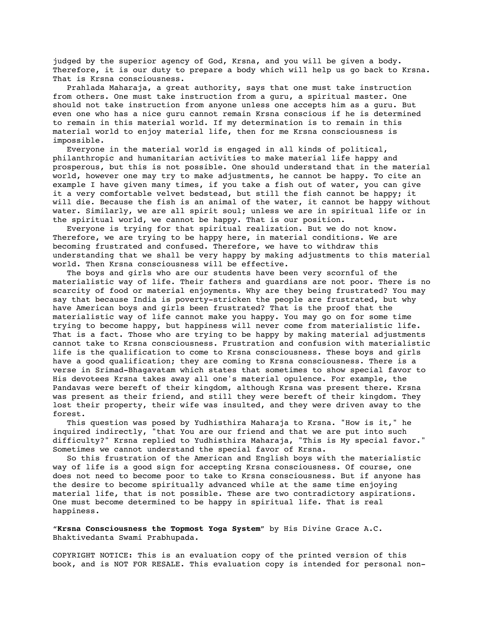judged by the superior agency of God, Krsna, and you will be given a body. Therefore, it is our duty to prepare a body which will help us go back to Krsna. That is Krsna consciousness.

 Prahlada Maharaja, a great authority, says that one must take instruction from others. One must take instruction from a guru, a spiritual master. One should not take instruction from anyone unless one accepts him as a guru. But even one who has a nice guru cannot remain Krsna conscious if he is determined to remain in this material world. If my determination is to remain in this material world to enjoy material life, then for me Krsna consciousness is impossible.

 Everyone in the material world is engaged in all kinds of political, philanthropic and humanitarian activities to make material life happy and prosperous, but this is not possible. One should understand that in the material world, however one may try to make adjustments, he cannot be happy. To cite an example I have given many times, if you take a fish out of water, you can give it a very comfortable velvet bedstead, but still the fish cannot be happy; it will die. Because the fish is an animal of the water, it cannot be happy without water. Similarly, we are all spirit soul; unless we are in spiritual life or in the spiritual world, we cannot be happy. That is our position.

 Everyone is trying for that spiritual realization. But we do not know. Therefore, we are trying to be happy here, in material conditions. We are becoming frustrated and confused. Therefore, we have to withdraw this understanding that we shall be very happy by making adjustments to this material world. Then Krsna consciousness will be effective.

 The boys and girls who are our students have been very scornful of the materialistic way of life. Their fathers and guardians are not poor. There is no scarcity of food or material enjoyments. Why are they being frustrated? You may say that because India is poverty-stricken the people are frustrated, but why have American boys and girls been frustrated? That is the proof that the materialistic way of life cannot make you happy. You may go on for some time trying to become happy, but happiness will never come from materialistic life. That is a fact. Those who are trying to be happy by making material adjustments cannot take to Krsna consciousness. Frustration and confusion with materialistic life is the qualification to come to Krsna consciousness. These boys and girls have a good qualification; they are coming to Krsna consciousness. There is a verse in Srimad-Bhagavatam which states that sometimes to show special favor to His devotees Krsna takes away all one's material opulence. For example, the Pandavas were bereft of their kingdom, although Krsna was present there. Krsna was present as their friend, and still they were bereft of their kingdom. They lost their property, their wife was insulted, and they were driven away to the forest.

 This question was posed by Yudhisthira Maharaja to Krsna. "How is it," he inquired indirectly, "that You are our friend and that we are put into such difficulty?" Krsna replied to Yudhisthira Maharaja, "This is My special favor." Sometimes we cannot understand the special favor of Krsna.

 So this frustration of the American and English boys with the materialistic way of life is a good sign for accepting Krsna consciousness. Of course, one does not need to become poor to take to Krsna consciousness. But if anyone has the desire to become spiritually advanced while at the same time enjoying material life, that is not possible. These are two contradictory aspirations. One must become determined to be happy in spiritual life. That is real happiness.

"**Krsna Consciousness the Topmost Yoga System**" by His Divine Grace A.C. Bhaktivedanta Swami Prabhupada.

COPYRIGHT NOTICE: This is an evaluation copy of the printed version of this book, and is NOT FOR RESALE. This evaluation copy is intended for personal non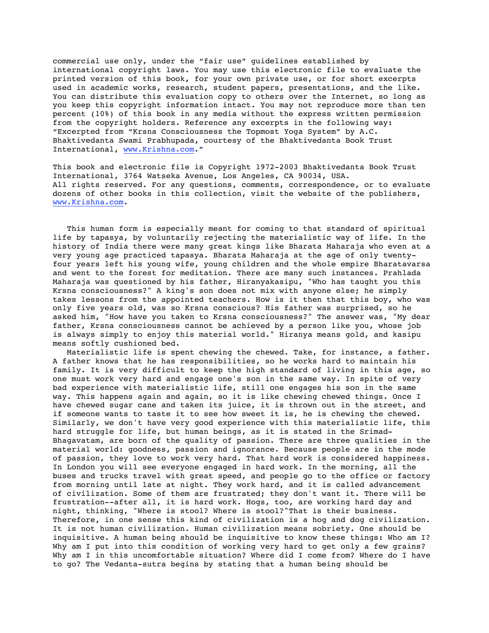commercial use only, under the "fair use" guidelines established by international copyright laws. You may use this electronic file to evaluate the printed version of this book, for your own private use, or for short excerpts used in academic works, research, student papers, presentations, and the like. You can distribute this evaluation copy to others over the Internet, so long as you keep this copyright information intact. You may not reproduce more than ten percent (10%) of this book in any media without the express written permission from the copyright holders. Reference any excerpts in the following way: "Excerpted from "Krsna Consciousness the Topmost Yoga System" by A.C. Bhaktivedanta Swami Prabhupada, courtesy of the Bhaktivedanta Book Trust International, www.Krishna.com."

This book and electronic file is Copyright 1972-2003 Bhaktivedanta Book Trust International, 3764 Watseka Avenue, Los Angeles, CA 90034, USA. All rights reserved. For any questions, comments, correspondence, or to evaluate dozens of other books in this collection, visit the website of the publishers, www.Krishna.com.

 This human form is especially meant for coming to that standard of spiritual life by tapasya, by voluntarily rejecting the materialistic way of life. In the history of India there were many great kings like Bharata Maharaja who even at a very young age practiced tapasya. Bharata Maharaja at the age of only twentyfour years left his young wife, young children and the whole empire Bharatavarsa and went to the forest for meditation. There are many such instances. Prahlada Maharaja was questioned by his father, Hiranyakasipu, "Who has taught you this Krsna consciousness?" A king's son does not mix with anyone else; he simply takes lessons from the appointed teachers. How is it then that this boy, who was only five years old, was so Krsna conscious? His father was surprised, so he asked him, "How have you taken to Krsna consciousness?" The answer was, "My dear father, Krsna consciousness cannot be achieved by a person like you, whose job is always simply to enjoy this material world." Hiranya means gold, and kasipu means softly cushioned bed.

 Materialistic life is spent chewing the chewed. Take, for instance, a father. A father knows that he has responsibilities, so he works hard to maintain his family. It is very difficult to keep the high standard of living in this age, so one must work very hard and engage one's son in the same way. In spite of very bad experience with materialistic life, still one engages his son in the same way. This happens again and again, so it is like chewing chewed things. Once I have chewed sugar cane and taken its juice, it is thrown out in the street, and if someone wants to taste it to see how sweet it is, he is chewing the chewed. Similarly, we don't have very good experience with this materialistic life, this hard struggle for life, but human beings, as it is stated in the Srimad-Bhagavatam, are born of the quality of passion. There are three qualities in the material world: goodness, passion and ignorance. Because people are in the mode of passion, they love to work very hard. That hard work is considered happiness. In London you will see everyone engaged in hard work. In the morning, all the buses and trucks travel with great speed, and people go to the office or factory from morning until late at night. They work hard, and it is called advancement of civilization. Some of them are frustrated; they don't want it. There will be frustration--after all, it is hard work. Hogs, too, are working hard day and night, thinking, "Where is stool? Where is stool?"That is their business. Therefore, in one sense this kind of civilization is a hog and dog civilization. It is not human civilization. Human civilization means sobriety. One should be inquisitive. A human being should be inquisitive to know these things: Who am I? Why am I put into this condition of working very hard to get only a few grains? Why am I in this uncomfortable situation? Where did I come from? Where do I have to go? The Vedanta-sutra begins by stating that a human being should be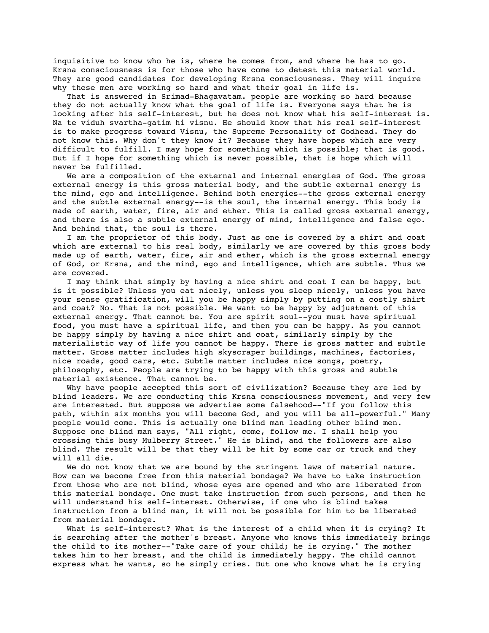inquisitive to know who he is, where he comes from, and where he has to go. Krsna consciousness is for those who have come to detest this material world. They are good candidates for developing Krsna consciousness. They will inquire why these men are working so hard and what their goal in life is.

 That is answered in Srimad-Bhagavatam. people are working so hard because they do not actually know what the goal of life is. Everyone says that he is looking after his self-interest, but he does not know what his self-interest is. Na te viduh svartha-gatim hi visnu. He should know that his real self-interest is to make progress toward Visnu, the Supreme Personality of Godhead. They do not know this. Why don't they know it? Because they have hopes which are very difficult to fulfill. I may hope for something which is possible; that is good. But if I hope for something which is never possible, that is hope which will never be fulfilled.

 We are a composition of the external and internal energies of God. The gross external energy is this gross material body, and the subtle external energy is the mind, ego and intelligence. Behind both energies--the gross external energy and the subtle external energy--is the soul, the internal energy. This body is made of earth, water, fire, air and ether. This is called gross external energy, and there is also a subtle external energy of mind, intelligence and false ego. And behind that, the soul is there.

 I am the proprietor of this body. Just as one is covered by a shirt and coat which are external to his real body, similarly we are covered by this gross body made up of earth, water, fire, air and ether, which is the gross external energy of God, or Krsna, and the mind, ego and intelligence, which are subtle. Thus we are covered.

 I may think that simply by having a nice shirt and coat I can be happy, but is it possible? Unless you eat nicely, unless you sleep nicely, unless you have your sense gratification, will you be happy simply by putting on a costly shirt and coat? No. That is not possible. We want to be happy by adjustment of this external energy. That cannot be. You are spirit soul--you must have spiritual food, you must have a spiritual life, and then you can be happy. As you cannot be happy simply by having a nice shirt and coat, similarly simply by the materialistic way of life you cannot be happy. There is gross matter and subtle matter. Gross matter includes high skyscraper buildings, machines, factories, nice roads, good cars, etc. Subtle matter includes nice songs, poetry, philosophy, etc. People are trying to be happy with this gross and subtle material existence. That cannot be.

 Why have people accepted this sort of civilization? Because they are led by blind leaders. We are conducting this Krsna consciousness movement, and very few are interested. But suppose we advertise some falsehood--"If you follow this path, within six months you will become God, and you will be all-powerful." Many people would come. This is actually one blind man leading other blind men. Suppose one blind man says, "All right, come, follow me. I shall help you crossing this busy Mulberry Street." He is blind, and the followers are also blind. The result will be that they will be hit by some car or truck and they will all die.

 We do not know that we are bound by the stringent laws of material nature. How can we become free from this material bondage? We have to take instruction from those who are not blind, whose eyes are opened and who are liberated from this material bondage. One must take instruction from such persons, and then he will understand his self-interest. Otherwise, if one who is blind takes instruction from a blind man, it will not be possible for him to be liberated from material bondage.

 What is self-interest? What is the interest of a child when it is crying? It is searching after the mother's breast. Anyone who knows this immediately brings the child to its mother--"Take care of your child; he is crying." The mother takes him to her breast, and the child is immediately happy. The child cannot express what he wants, so he simply cries. But one who knows what he is crying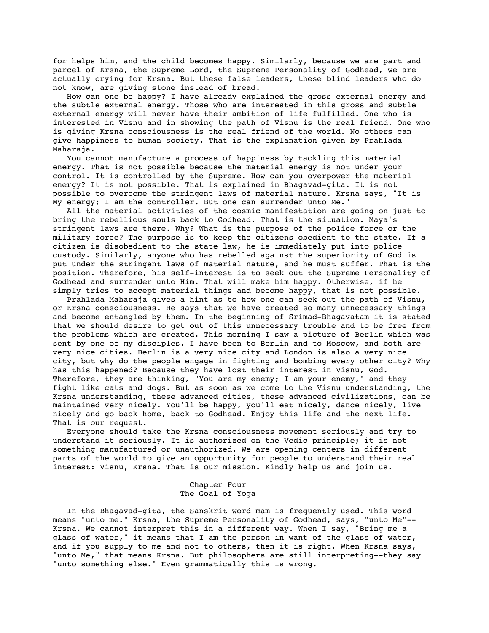for helps him, and the child becomes happy. Similarly, because we are part and parcel of Krsna, the Supreme Lord, the Supreme Personality of Godhead, we are actually crying for Krsna. But these false leaders, these blind leaders who do not know, are giving stone instead of bread.

 How can one be happy? I have already explained the gross external energy and the subtle external energy. Those who are interested in this gross and subtle external energy will never have their ambition of life fulfilled. One who is interested in Visnu and in showing the path of Visnu is the real friend. One who is giving Krsna consciousness is the real friend of the world. No others can give happiness to human society. That is the explanation given by Prahlada Maharaja.

 You cannot manufacture a process of happiness by tackling this material energy. That is not possible because the material energy is not under your control. It is controlled by the Supreme. How can you overpower the material energy? It is not possible. That is explained in Bhagavad-gita. It is not possible to overcome the stringent laws of material nature. Krsna says, "It is My energy; I am the controller. But one can surrender unto Me."

 All the material activities of the cosmic manifestation are going on just to bring the rebellious souls back to Godhead. That is the situation. Maya's stringent laws are there. Why? What is the purpose of the police force or the military force? The purpose is to keep the citizens obedient to the state. If a citizen is disobedient to the state law, he is immediately put into police custody. Similarly, anyone who has rebelled against the superiority of God is put under the stringent laws of material nature, and he must suffer. That is the position. Therefore, his self-interest is to seek out the Supreme Personality of Godhead and surrender unto Him. That will make him happy. Otherwise, if he simply tries to accept material things and become happy, that is not possible.

 Prahlada Maharaja gives a hint as to how one can seek out the path of Visnu, or Krsna consciousness. He says that we have created so many unnecessary things and become entangled by them. In the beginning of Srimad-Bhagavatam it is stated that we should desire to get out of this unnecessary trouble and to be free from the problems which are created. This morning I saw a picture of Berlin which was sent by one of my disciples. I have been to Berlin and to Moscow, and both are very nice cities. Berlin is a very nice city and London is also a very nice city, but why do the people engage in fighting and bombing every other city? Why has this happened? Because they have lost their interest in Visnu, God. Therefore, they are thinking, "You are my enemy; I am your enemy," and they fight like cats and dogs. But as soon as we come to the Visnu understanding, the Krsna understanding, these advanced cities, these advanced civilizations, can be maintained very nicely. You'll be happy, you'll eat nicely, dance nicely, live nicely and go back home, back to Godhead. Enjoy this life and the next life. That is our request.

 Everyone should take the Krsna consciousness movement seriously and try to understand it seriously. It is authorized on the Vedic principle; it is not something manufactured or unauthorized. We are opening centers in different parts of the world to give an opportunity for people to understand their real interest: Visnu, Krsna. That is our mission. Kindly help us and join us.

> Chapter Four The Goal of Yoga

 In the Bhagavad-gita, the Sanskrit word mam is frequently used. This word means "unto me." Krsna, the Supreme Personality of Godhead, says, "unto Me"-- Krsna. We cannot interpret this in a different way. When I say, "Bring me a glass of water," it means that I am the person in want of the glass of water, and if you supply to me and not to others, then it is right. When Krsna says, "unto Me," that means Krsna. But philosophers are still interpreting--they say "unto something else." Even grammatically this is wrong.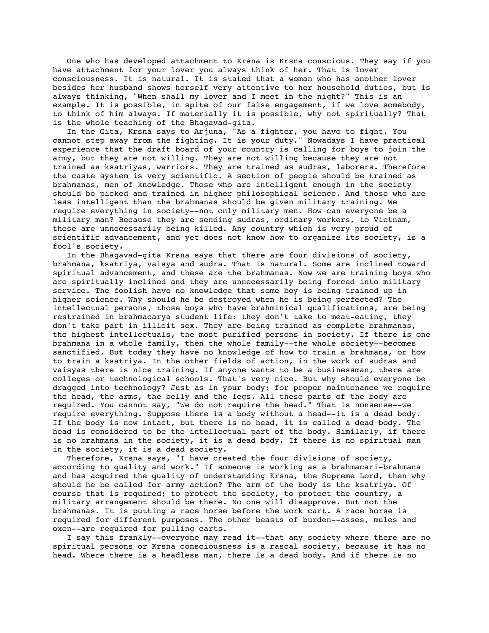One who has developed attachment to Krsna is Krsna conscious. They say if you have attachment for your lover you always think of her. That is lover consciousness. It is natural. It is stated that a woman who has another lover besides her husband shows herself very attentive to her household duties, but is always thinking, "When shall my lover and I meet in the night?" This is an example. It is possible, in spite of our false engagement, if we love somebody, to think of him always. If materially it is possible, why not spiritually? That is the whole teaching of the Bhagavad-gita.

 In the Gita, Krsna says to Arjuna, "As a fighter, you have to fight. You cannot step away from the fighting. It is your duty." Nowadays I have practical experience that the draft board of your country is calling for boys to join the army, but they are not willing. They are not willing because they are not trained as ksatriyas, warriors. They are trained as sudras, laborers. Therefore the caste system is very scientific. A section of people should be trained as brahmanas, men of knowledge. Those who are intelligent enough in the society should be picked and trained in higher philosophical science. And those who are less intelligent than the brahmanas should be given military training. We require everything in society--not only military men. How can everyone be a military man? Because they are sending sudras, ordinary workers, to Vietnam, these are unnecessarily being killed. Any country which is very proud of scientific advancement, and yet does not know how to organize its society, is a fool's society.

 In the Bhagavad-gita Krsna says that there are four divisions of society, brahmana, ksatriya, vaisya and sudra. That is natural. Some are inclined toward spiritual advancement, and these are the brahmanas. Now we are training boys who are spiritually inclined and they are unnecessarily being forced into military service. The foolish have no knowledge that some boy is being trained up in higher science. Why should he be destroyed when he is being perfected? The intellectual persons, those boys who have brahminical qualifications, are being restrained in brahmacarya student life: they don't take to meat-eating, they don't take part in illicit sex. They are being trained as complete brahmanas, the highest intellectuals, the most purified persons in society. If there is one brahmana in a whole family, then the whole family--the whole society--becomes sanctified. But today they have no knowledge of how to train a brahmana, or how to train a ksatriya. In the other fields of action, in the work of sudras and vaisyas there is nice training. If anyone wants to be a businessman, there are colleges or technological schools. That's very nice. But why should everyone be dragged into technology? Just as in your body: for proper maintenance we require the head, the arms, the belly and the legs. All these parts of the body are required. You cannot say, "We do not require the head." That is nonsense--we require everything. Suppose there is a body without a head--it is a dead body. If the body is now intact, but there is no head, it is called a dead body. The head is considered to be the intellectual part of the body. Similarly, if there is no brahmana in the society, it is a dead body. If there is no spiritual man in the society, it is a dead society.

 Therefore, Krsna says, "I have created the four divisions of society, according to quality and work." If someone is working as a brahmacari-brahmana and has acquired the quality of understanding Krsna, the Supreme Lord, then why should he be called for army action? The arm of the body is the ksatriya. Of course that is required; to protect the society, to protect the country, a military arrangement should be there. No one will disapprove. But not the brahmanas. It is putting a race horse before the work cart. A race horse is required for different purposes. The other beasts of burden--asses, mules and oxen--are required for pulling carts.

 I say this frankly--everyone may read it--that any society where there are no spiritual persons or Krsna consciousness is a rascal society, because it has no head. Where there is a headless man, there is a dead body. And if there is no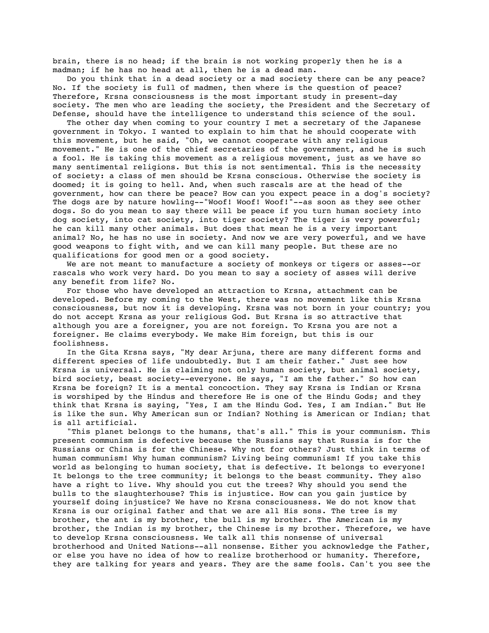brain, there is no head; if the brain is not working properly then he is a madman; if he has no head at all, then he is a dead man.

 Do you think that in a dead society or a mad society there can be any peace? No. If the society is full of madmen, then where is the question of peace? Therefore, Krsna consciousness is the most important study in present-day society. The men who are leading the society, the President and the Secretary of Defense, should have the intelligence to understand this science of the soul.

 The other day when coming to your country I met a secretary of the Japanese government in Tokyo. I wanted to explain to him that he should cooperate with this movement, but he said, "Oh, we cannot cooperate with any religious movement." He is one of the chief secretaries of the government, and he is such a fool. He is taking this movement as a religious movement, just as we have so many sentimental religions. But this is not sentimental. This is the necessity of society: a class of men should be Krsna conscious. Otherwise the society is doomed; it is going to hell. And, when such rascals are at the head of the government, how can there be peace? How can you expect peace in a dog's society? The dogs are by nature howling--"Woof! Woof! Woof!"--as soon as they see other dogs. So do you mean to say there will be peace if you turn human society into dog society, into cat society, into tiger society? The tiger is very powerful; he can kill many other animals. But does that mean he is a very important animal? No, he has no use in society. And now we are very powerful, and we have good weapons to fight with, and we can kill many people. But these are no qualifications for good men or a good society.

 We are not meant to manufacture a society of monkeys or tigers or asses--or rascals who work very hard. Do you mean to say a society of asses will derive any benefit from life? No.

 For those who have developed an attraction to Krsna, attachment can be developed. Before my coming to the West, there was no movement like this Krsna consciousness, but now it is developing. Krsna was not born in your country; you do not accept Krsna as your religious God. But Krsna is so attractive that although you are a foreigner, you are not foreign. To Krsna you are not a foreigner. He claims everybody. We make Him foreign, but this is our foolishness.

 In the Gita Krsna says, "My dear Arjuna, there are many different forms and different species of life undoubtedly. But I am their father." Just see how Krsna is universal. He is claiming not only human society, but animal society, bird society, beast society--everyone. He says, "I am the father." So how can Krsna be foreign? It is a mental concoction. They say Krsna is Indian or Krsna is worshiped by the Hindus and therefore He is one of the Hindu Gods; and they think that Krsna is saying, "Yes, I am the Hindu God. Yes, I am Indian." But He is like the sun. Why American sun or Indian? Nothing is American or Indian; that is all artificial.

 "This planet belongs to the humans, that's all." This is your communism. This present communism is defective because the Russians say that Russia is for the Russians or China is for the Chinese. Why not for others? Just think in terms of human communism! Why human communism? Living being communism! If you take this world as belonging to human society, that is defective. It belongs to everyone! It belongs to the tree community; it belongs to the beast community. They also have a right to live. Why should you cut the trees? Why should you send the bulls to the slaughterhouse? This is injustice. How can you gain justice by yourself doing injustice? We have no Krsna consciousness. We do not know that Krsna is our original father and that we are all His sons. The tree is my brother, the ant is my brother, the bull is my brother. The American is my brother, the Indian is my brother, the Chinese is my brother. Therefore, we have to develop Krsna consciousness. We talk all this nonsense of universal brotherhood and United Nations--all nonsense. Either you acknowledge the Father, or else you have no idea of how to realize brotherhood or humanity. Therefore, they are talking for years and years. They are the same fools. Can't you see the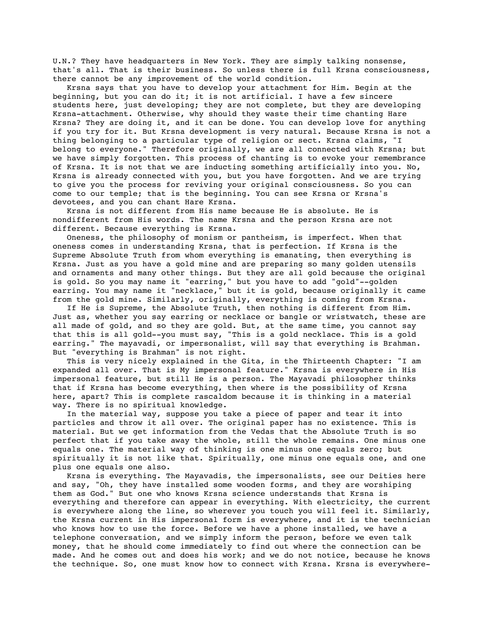U.N.? They have headquarters in New York. They are simply talking nonsense, that's all. That is their business. So unless there is full Krsna consciousness, there cannot be any improvement of the world condition.

 Krsna says that you have to develop your attachment for Him. Begin at the beginning, but you can do it; it is not artificial. I have a few sincere students here, just developing; they are not complete, but they are developing Krsna-attachment. Otherwise, why should they waste their time chanting Hare Krsna? They are doing it, and it can be done. You can develop love for anything if you try for it. But Krsna development is very natural. Because Krsna is not a thing belonging to a particular type of religion or sect. Krsna claims, "I belong to everyone." Therefore originally, we are all connected with Krsna; but we have simply forgotten. This process of chanting is to evoke your remembrance of Krsna. It is not that we are inducting something artificially into you. No, Krsna is already connected with you, but you have forgotten. And we are trying to give you the process for reviving your original consciousness. So you can come to our temple; that is the beginning. You can see Krsna or Krsna's devotees, and you can chant Hare Krsna.

 Krsna is not different from His name because He is absolute. He is nondifferent from His words. The name Krsna and the person Krsna are not different. Because everything is Krsna.

 Oneness, the philosophy of monism or pantheism, is imperfect. When that oneness comes in understanding Krsna, that is perfection. If Krsna is the Supreme Absolute Truth from whom everything is emanating, then everything is Krsna. Just as you have a gold mine and are preparing so many golden utensils and ornaments and many other things. But they are all gold because the original is gold. So you may name it "earring," but you have to add "gold"--golden earring. You may name it "necklace," but it is gold, because originally it came from the gold mine. Similarly, originally, everything is coming from Krsna.

 If He is Supreme, the Absolute Truth, then nothing is different from Him. Just as, whether you say earring or necklace or bangle or wristwatch, these are all made of gold, and so they are gold. But, at the same time, you cannot say that this is all gold--you must say, "This is a gold necklace. This is a gold earring." The mayavadi, or impersonalist, will say that everything is Brahman. But "everything is Brahman" is not right.

 This is very nicely explained in the Gita, in the Thirteenth Chapter: "I am expanded all over. That is My impersonal feature." Krsna is everywhere in His impersonal feature, but still He is a person. The Mayavadi philosopher thinks that if Krsna has become everything, then where is the possibility of Krsna here, apart? This is complete rascaldom because it is thinking in a material way. There is no spiritual knowledge.

 In the material way, suppose you take a piece of paper and tear it into particles and throw it all over. The original paper has no existence. This is material. But we get information from the Vedas that the Absolute Truth is so perfect that if you take away the whole, still the whole remains. One minus one equals one. The material way of thinking is one minus one equals zero; but spiritually it is not like that. Spiritually, one minus one equals one, and one plus one equals one also.

 Krsna is everything. The Mayavadis, the impersonalists, see our Deities here and say, "Oh, they have installed some wooden forms, and they are worshiping them as God." But one who knows Krsna science understands that Krsna is everything and therefore can appear in everything. With electricity, the current is everywhere along the line, so wherever you touch you will feel it. Similarly, the Krsna current in His impersonal form is everywhere, and it is the technician who knows how to use the force. Before we have a phone installed, we have a telephone conversation, and we simply inform the person, before we even talk money, that he should come immediately to find out where the connection can be made. And he comes out and does his work; and we do not notice, because he knows the technique. So, one must know how to connect with Krsna. Krsna is everywhere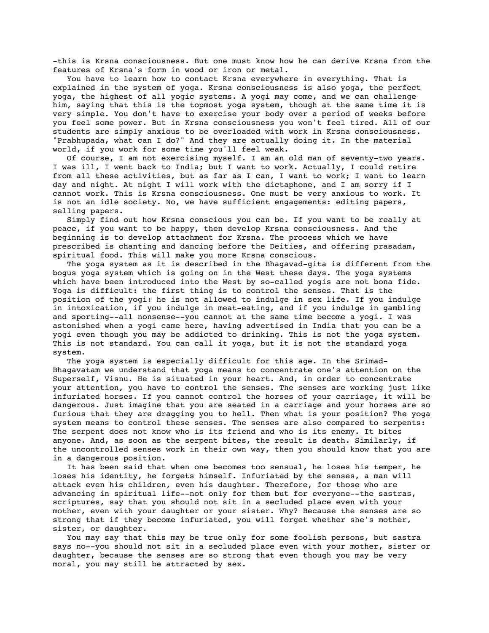-this is Krsna consciousness. But one must know how he can derive Krsna from the features of Krsna's form in wood or iron or metal.

 You have to learn how to contact Krsna everywhere in everything. That is explained in the system of yoga. Krsna consciousness is also yoga, the perfect yoga, the highest of all yogic systems. A yogi may come, and we can challenge him, saying that this is the topmost yoga system, though at the same time it is very simple. You don't have to exercise your body over a period of weeks before you feel some power. But in Krsna consciousness you won't feel tired. All of our students are simply anxious to be overloaded with work in Krsna consciousness. "Prabhupada, what can I do?" And they are actually doing it. In the material world, if you work for some time you'll feel weak.

 Of course, I am not exercising myself. I am an old man of seventy-two years. I was ill, I went back to India; but I want to work. Actually, I could retire from all these activities, but as far as I can, I want to work; I want to learn day and night. At night I will work with the dictaphone, and I am sorry if I cannot work. This is Krsna consciousness. One must be very anxious to work. It is not an idle society. No, we have sufficient engagements: editing papers, selling papers.

 Simply find out how Krsna conscious you can be. If you want to be really at peace, if you want to be happy, then develop Krsna consciousness. And the beginning is to develop attachment for Krsna. The process which we have prescribed is chanting and dancing before the Deities, and offering prasadam, spiritual food. This will make you more Krsna conscious.

 The yoga system as it is described in the Bhagavad-gita is different from the bogus yoga system which is going on in the West these days. The yoga systems which have been introduced into the West by so-called yogis are not bona fide. Yoga is difficult: the first thing is to control the senses. That is the position of the yogi: he is not allowed to indulge in sex life. If you indulge in intoxication, if you indulge in meat-eating, and if you indulge in gambling and sporting--all nonsense--you cannot at the same time become a yogi. I was astonished when a yogi came here, having advertised in India that you can be a yogi even though you may be addicted to drinking. This is not the yoga system. This is not standard. You can call it yoga, but it is not the standard yoga system.

 The yoga system is especially difficult for this age. In the Srimad-Bhagavatam we understand that yoga means to concentrate one's attention on the Superself, Visnu. He is situated in your heart. And, in order to concentrate your attention, you have to control the senses. The senses are working just like infuriated horses. If you cannot control the horses of your carriage, it will be dangerous. Just imagine that you are seated in a carriage and your horses are so furious that they are dragging you to hell. Then what is your position? The yoga system means to control these senses. The senses are also compared to serpents: The serpent does not know who is its friend and who is its enemy. It bites anyone. And, as soon as the serpent bites, the result is death. Similarly, if the uncontrolled senses work in their own way, then you should know that you are in a dangerous position.

 It has been said that when one becomes too sensual, he loses his temper, he loses his identity, he forgets himself. Infuriated by the senses, a man will attack even his children, even his daughter. Therefore, for those who are advancing in spiritual life--not only for them but for everyone--the sastras, scriptures, say that you should not sit in a secluded place even with your mother, even with your daughter or your sister. Why? Because the senses are so strong that if they become infuriated, you will forget whether she's mother, sister, or daughter.

 You may say that this may be true only for some foolish persons, but sastra says no--you should not sit in a secluded place even with your mother, sister or daughter, because the senses are so strong that even though you may be very moral, you may still be attracted by sex.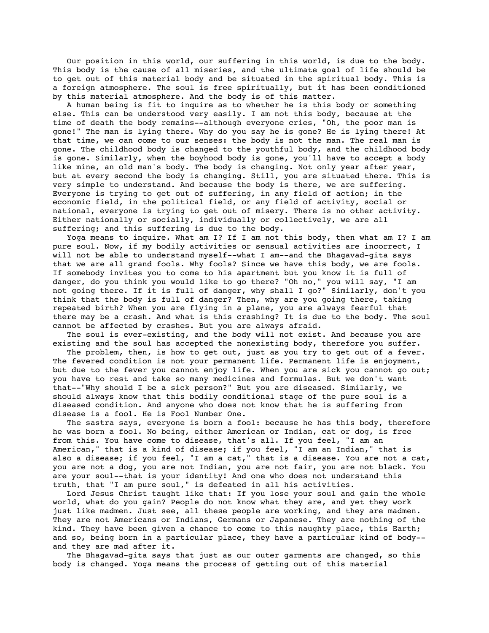Our position in this world, our suffering in this world, is due to the body. This body is the cause of all miseries, and the ultimate goal of life should be to get out of this material body and be situated in the spiritual body. This is a foreign atmosphere. The soul is free spiritually, but it has been conditioned by this material atmosphere. And the body is of this matter.

 A human being is fit to inquire as to whether he is this body or something else. This can be understood very easily. I am not this body, because at the time of death the body remains--although everyone cries, "Oh, the poor man is gone!" The man is lying there. Why do you say he is gone? He is lying there! At that time, we can come to our senses: the body is not the man. The real man is gone. The childhood body is changed to the youthful body, and the childhood body is gone. Similarly, when the boyhood body is gone, you'll have to accept a body like mine, an old man's body. The body is changing. Not only year after year, but at every second the body is changing. Still, you are situated there. This is very simple to understand. And because the body is there, we are suffering. Everyone is trying to get out of suffering, in any field of action; in the economic field, in the political field, or any field of activity, social or national, everyone is trying to get out of misery. There is no other activity. Either nationally or socially, individually or collectively, we are all suffering; and this suffering is due to the body.

 Yoga means to inquire. What am I? If I am not this body, then what am I? I am pure soul. Now, if my bodily activities or sensual activities are incorrect, I will not be able to understand myself--what I am--and the Bhagavad-gita says that we are all grand fools. Why fools? Since we have this body, we are fools. If somebody invites you to come to his apartment but you know it is full of danger, do you think you would like to go there? "Oh no," you will say, "I am not going there. If it is full of danger, why shall I go?" Similarly, don't you think that the body is full of danger? Then, why are you going there, taking repeated birth? When you are flying in a plane, you are always fearful that there may be a crash. And what is this crashing? It is due to the body. The soul cannot be affected by crashes. But you are always afraid.

 The soul is ever-existing, and the body will not exist. And because you are existing and the soul has accepted the nonexisting body, therefore you suffer.

The problem, then, is how to get out, just as you try to get out of a fever. The fevered condition is not your permanent life. Permanent life is enjoyment, but due to the fever you cannot enjoy life. When you are sick you cannot go out; you have to rest and take so many medicines and formulas. But we don't want that--"Why should I be a sick person?" But you are diseased. Similarly, we should always know that this bodily conditional stage of the pure soul is a diseased condition. And anyone who does not know that he is suffering from disease is a fool. He is Fool Number One.

 The sastra says, everyone is born a fool: because he has this body, therefore he was born a fool. No being, either American or Indian, cat or dog, is free from this. You have come to disease, that's all. If you feel, "I am an American," that is a kind of disease; if you feel, "I am an Indian," that is also a disease; if you feel, "I am a cat," that is a disease. You are not a cat, you are not a dog, you are not Indian, you are not fair, you are not black. You are your soul--that is your identity! And one who does not understand this truth, that "I am pure soul," is defeated in all his activities.

 Lord Jesus Christ taught like that: If you lose your soul and gain the whole world, what do you gain? People do not know what they are, and yet they work just like madmen. Just see, all these people are working, and they are madmen. They are not Americans or Indians, Germans or Japanese. They are nothing of the kind. They have been given a chance to come to this naughty place, this Earth; and so, being born in a particular place, they have a particular kind of body- and they are mad after it.

 The Bhagavad-gita says that just as our outer garments are changed, so this body is changed. Yoga means the process of getting out of this material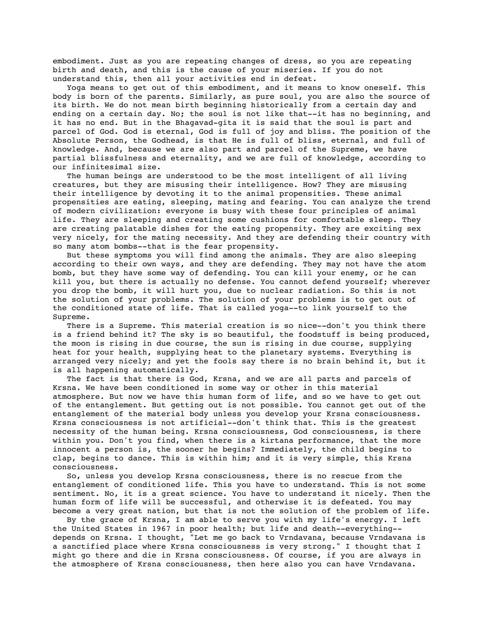embodiment. Just as you are repeating changes of dress, so you are repeating birth and death, and this is the cause of your miseries. If you do not understand this, then all your activities end in defeat.

 Yoga means to get out of this embodiment, and it means to know oneself. This body is born of the parents. Similarly, as pure soul, you are also the source of its birth. We do not mean birth beginning historically from a certain day and ending on a certain day. No; the soul is not like that--it has no beginning, and it has no end. But in the Bhagavad-gita it is said that the soul is part and parcel of God. God is eternal, God is full of joy and bliss. The position of the Absolute Person, the Godhead, is that He is full of bliss, eternal, and full of knowledge. And, because we are also part and parcel of the Supreme, we have partial blissfulness and eternality, and we are full of knowledge, according to our infinitesimal size.

 The human beings are understood to be the most intelligent of all living creatures, but they are misusing their intelligence. How? They are misusing their intelligence by devoting it to the animal propensities. These animal propensities are eating, sleeping, mating and fearing. You can analyze the trend of modern civilization: everyone is busy with these four principles of animal life. They are sleeping and creating some cushions for comfortable sleep. They are creating palatable dishes for the eating propensity. They are exciting sex very nicely, for the mating necessity. And they are defending their country with so many atom bombs--that is the fear propensity.

 But these symptoms you will find among the animals. They are also sleeping according to their own ways, and they are defending. They may not have the atom bomb, but they have some way of defending. You can kill your enemy, or he can kill you, but there is actually no defense. You cannot defend yourself; wherever you drop the bomb, it will hurt you, due to nuclear radiation. So this is not the solution of your problems. The solution of your problems is to get out of the conditioned state of life. That is called yoga--to link yourself to the Supreme.

 There is a Supreme. This material creation is so nice--don't you think there is a friend behind it? The sky is so beautiful, the foodstuff is being produced, the moon is rising in due course, the sun is rising in due course, supplying heat for your health, supplying heat to the planetary systems. Everything is arranged very nicely; and yet the fools say there is no brain behind it, but it is all happening automatically.

 The fact is that there is God, Krsna, and we are all parts and parcels of Krsna. We have been conditioned in some way or other in this material atmosphere. But now we have this human form of life, and so we have to get out of the entanglement. But getting out is not possible. You cannot get out of the entanglement of the material body unless you develop your Krsna consciousness. Krsna consciousness is not artificial--don't think that. This is the greatest necessity of the human being. Krsna consciousness, God consciousness, is there within you. Don't you find, when there is a kirtana performance, that the more innocent a person is, the sooner he begins? Immediately, the child begins to clap, begins to dance. This is within him; and it is very simple, this Krsna consciousness.

 So, unless you develop Krsna consciousness, there is no rescue from the entanglement of conditioned life. This you have to understand. This is not some sentiment. No, it is a great science. You have to understand it nicely. Then the human form of life will be successful, and otherwise it is defeated. You may become a very great nation, but that is not the solution of the problem of life.

 By the grace of Krsna, I am able to serve you with my life's energy. I left the United States in 1967 in poor health; but life and death--everything- depends on Krsna. I thought, "Let me go back to Vrndavana, because Vrndavana is a sanctified place where Krsna consciousness is very strong." I thought that I might go there and die in Krsna consciousness. Of course, if you are always in the atmosphere of Krsna consciousness, then here also you can have Vrndavana.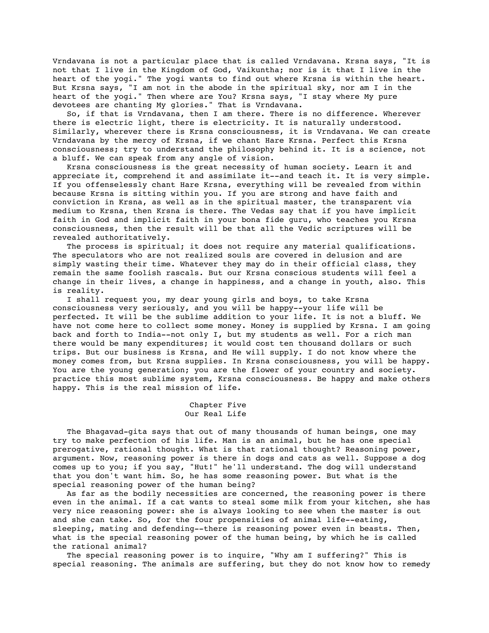Vrndavana is not a particular place that is called Vrndavana. Krsna says, "It is not that I live in the Kingdom of God, Vaikuntha; nor is it that I live in the heart of the yogi." The yogi wants to find out where Krsna is within the heart. But Krsna says, "I am not in the abode in the spiritual sky, nor am I in the heart of the yogi." Then where are You? Krsna says, "I stay where My pure devotees are chanting My glories." That is Vrndavana.

 So, if that is Vrndavana, then I am there. There is no difference. Wherever there is electric light, there is electricity. It is naturally understood. Similarly, wherever there is Krsna consciousness, it is Vrndavana. We can create Vrndavana by the mercy of Krsna, if we chant Hare Krsna. Perfect this Krsna consciousness; try to understand the philosophy behind it. It is a science, not a bluff. We can speak from any angle of vision.

 Krsna consciousness is the great necessity of human society. Learn it and appreciate it, comprehend it and assimilate it--and teach it. It is very simple. If you offenselessly chant Hare Krsna, everything will be revealed from within because Krsna is sitting within you. If you are strong and have faith and conviction in Krsna, as well as in the spiritual master, the transparent via medium to Krsna, then Krsna is there. The Vedas say that if you have implicit faith in God and implicit faith in your bona fide guru, who teaches you Krsna consciousness, then the result will be that all the Vedic scriptures will be revealed authoritatively.

The process is spiritual; it does not require any material qualifications. The speculators who are not realized souls are covered in delusion and are simply wasting their time. Whatever they may do in their official class, they remain the same foolish rascals. But our Krsna conscious students will feel a change in their lives, a change in happiness, and a change in youth, also. This is reality.

 I shall request you, my dear young girls and boys, to take Krsna consciousness very seriously, and you will be happy--your life will be perfected. It will be the sublime addition to your life. It is not a bluff. We have not come here to collect some money. Money is supplied by Krsna. I am going back and forth to India--not only I, but my students as well. For a rich man there would be many expenditures; it would cost ten thousand dollars or such trips. But our business is Krsna, and He will supply. I do not know where the money comes from, but Krsna supplies. In Krsna consciousness, you will be happy. You are the young generation; you are the flower of your country and society. practice this most sublime system, Krsna consciousness. Be happy and make others happy. This is the real mission of life.

> Chapter Five Our Real Life

 The Bhagavad-gita says that out of many thousands of human beings, one may try to make perfection of his life. Man is an animal, but he has one special prerogative, rational thought. What is that rational thought? Reasoning power, argument. Now, reasoning power is there in dogs and cats as well. Suppose a dog comes up to you; if you say, "Hut!" he'll understand. The dog will understand that you don't want him. So, he has some reasoning power. But what is the special reasoning power of the human being?

 As far as the bodily necessities are concerned, the reasoning power is there even in the animal. If a cat wants to steal some milk from your kitchen, she has very nice reasoning power: she is always looking to see when the master is out and she can take. So, for the four propensities of animal life--eating, sleeping, mating and defending--there is reasoning power even in beasts. Then, what is the special reasoning power of the human being, by which he is called the rational animal?

 The special reasoning power is to inquire, "Why am I suffering?" This is special reasoning. The animals are suffering, but they do not know how to remedy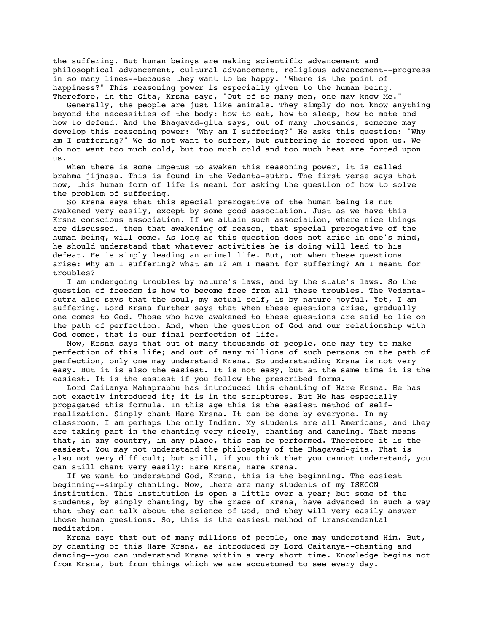the suffering. But human beings are making scientific advancement and philosophical advancement, cultural advancement, religious advancement--progress in so many lines--because they want to be happy. "Where is the point of happiness?" This reasoning power is especially given to the human being. Therefore, in the Gita, Krsna says, "Out of so many men, one may know Me."

 Generally, the people are just like animals. They simply do not know anything beyond the necessities of the body: how to eat, how to sleep, how to mate and how to defend. And the Bhagavad-gita says, out of many thousands, someone may develop this reasoning power: "Why am I suffering?" He asks this question: "Why am I suffering?" We do not want to suffer, but suffering is forced upon us. We do not want too much cold, but too much cold and too much heat are forced upon us.

 When there is some impetus to awaken this reasoning power, it is called brahma jijnasa. This is found in the Vedanta-sutra. The first verse says that now, this human form of life is meant for asking the question of how to solve the problem of suffering.

 So Krsna says that this special prerogative of the human being is nut awakened very easily, except by some good association. Just as we have this Krsna conscious association. If we attain such association, where nice things are discussed, then that awakening of reason, that special prerogative of the human being, will come. As long as this question does not arise in one's mind, he should understand that whatever activities he is doing will lead to his defeat. He is simply leading an animal life. But, not when these questions arise: Why am I suffering? What am I? Am I meant for suffering? Am I meant for troubles?

 I am undergoing troubles by nature's laws, and by the state's laws. So the question of freedom is how to become free from all these troubles. The Vedantasutra also says that the soul, my actual self, is by nature joyful. Yet, I am suffering. Lord Krsna further says that when these questions arise, gradually one comes to God. Those who have awakened to these questions are said to lie on the path of perfection. And, when the question of God and our relationship with God comes, that is our final perfection of life.

 Now, Krsna says that out of many thousands of people, one may try to make perfection of this life; and out of many millions of such persons on the path of perfection, only one may understand Krsna. So understanding Krsna is not very easy. But it is also the easiest. It is not easy, but at the same time it is the easiest. It is the easiest if you follow the prescribed forms.

 Lord Caitanya Mahaprabhu has introduced this chanting of Hare Krsna. He has not exactly introduced it; it is in the scriptures. But He has especially propagated this formula. In this age this is the easiest method of selfrealization. Simply chant Hare Krsna. It can be done by everyone. In my classroom, I am perhaps the only Indian. My students are all Americans, and they are taking part in the chanting very nicely, chanting and dancing. That means that, in any country, in any place, this can be performed. Therefore it is the easiest. You may not understand the philosophy of the Bhagavad-gita. That is also not very difficult; but still, if you think that you cannot understand, you can still chant very easily: Hare Krsna, Hare Krsna.

 If we want to understand God, Krsna, this is the beginning. The easiest beginning--simply chanting. Now, there are many students of my ISKCON institution. This institution is open a little over a year; but some of the students, by simply chanting, by the grace of Krsna, have advanced in such a way that they can talk about the science of God, and they will very easily answer those human questions. So, this is the easiest method of transcendental meditation.

 Krsna says that out of many millions of people, one may understand Him. But, by chanting of this Hare Krsna, as introduced by Lord Caitanya--chanting and dancing--you can understand Krsna within a very short time. Knowledge begins not from Krsna, but from things which we are accustomed to see every day.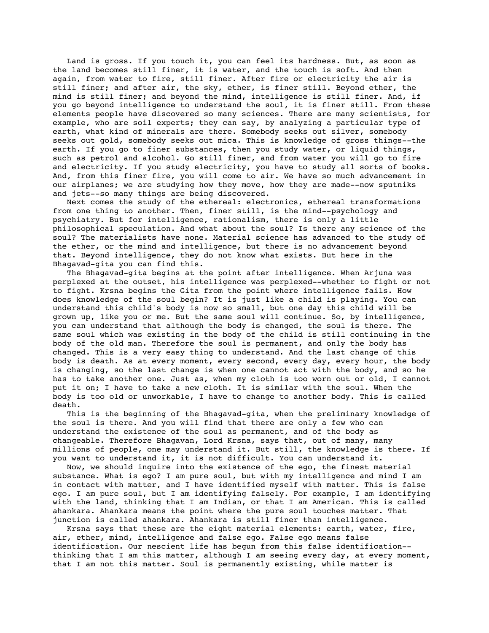Land is gross. If you touch it, you can feel its hardness. But, as soon as the land becomes still finer, it is water, and the touch is soft. And then again, from water to fire, still finer. After fire or electricity the air is still finer; and after air, the sky, ether, is finer still. Beyond ether, the mind is still finer; and beyond the mind, intelligence is still finer. And, if you go beyond intelligence to understand the soul, it is finer still. From these elements people have discovered so many sciences. There are many scientists, for example, who are soil experts; they can say, by analyzing a particular type of earth, what kind of minerals are there. Somebody seeks out silver, somebody seeks out gold, somebody seeks out mica. This is knowledge of gross things--the earth. If you go to finer substances, then you study water, or liquid things, such as petrol and alcohol. Go still finer, and from water you will go to fire and electricity. If you study electricity, you have to study all sorts of books. And, from this finer fire, you will come to air. We have so much advancement in our airplanes; we are studying how they move, how they are made--now sputniks and jets--so many things are being discovered.

 Next comes the study of the ethereal: electronics, ethereal transformations from one thing to another. Then, finer still, is the mind--psychology and psychiatry. But for intelligence, rationalism, there is only a little philosophical speculation. And what about the soul? Is there any science of the soul? The materialists have none. Material science has advanced to the study of the ether, or the mind and intelligence, but there is no advancement beyond that. Beyond intelligence, they do not know what exists. But here in the Bhagavad-gita you can find this.

 The Bhagavad-gita begins at the point after intelligence. When Arjuna was perplexed at the outset, his intelligence was perplexed--whether to fight or not to fight. Krsna begins the Gita from the point where intelligence fails. How does knowledge of the soul begin? It is just like a child is playing. You can understand this child's body is now so small, but one day this child will be grown up, like you or me. But the same soul will continue. So, by intelligence, you can understand that although the body is changed, the soul is there. The same soul which was existing in the body of the child is still continuing in the body of the old man. Therefore the soul is permanent, and only the body has changed. This is a very easy thing to understand. And the last change of this body is death. As at every moment, every second, every day, every hour, the body is changing, so the last change is when one cannot act with the body, and so he has to take another one. Just as, when my cloth is too worn out or old, I cannot put it on; I have to take a new cloth. It is similar with the soul. When the body is too old or unworkable, I have to change to another body. This is called death.

 This is the beginning of the Bhagavad-gita, when the preliminary knowledge of the soul is there. And you will find that there are only a few who can understand the existence of the soul as permanent, and of the body as changeable. Therefore Bhagavan, Lord Krsna, says that, out of many, many millions of people, one may understand it. But still, the knowledge is there. If you want to understand it, it is not difficult. You can understand it.

 Now, we should inquire into the existence of the ego, the finest material substance. What is ego? I am pure soul, but with my intelligence and mind I am in contact with matter, and I have identified myself with matter. This is false ego. I am pure soul, but I am identifying falsely. For example, I am identifying with the land, thinking that I am Indian, or that I am American. This is called ahankara. Ahankara means the point where the pure soul touches matter. That junction is called ahankara. Ahankara is still finer than intelligence.

 Krsna says that these are the eight material elements: earth, water, fire, air, ether, mind, intelligence and false ego. False ego means false identification. Our nescient life has begun from this false identification- thinking that I am this matter, although I am seeing every day, at every moment, that I am not this matter. Soul is permanently existing, while matter is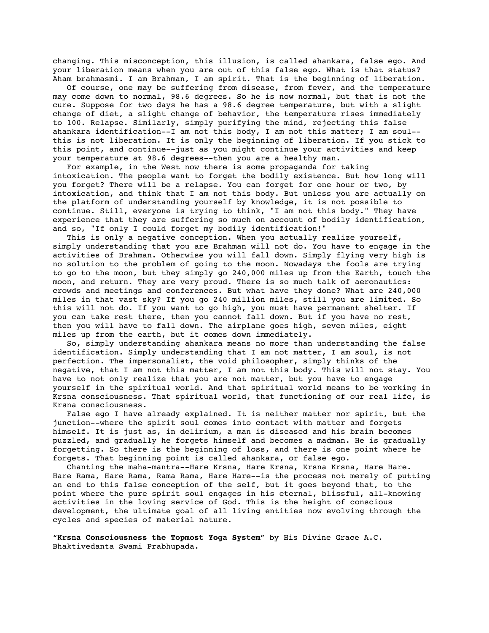changing. This misconception, this illusion, is called ahankara, false ego. And your liberation means when you are out of this false ego. What is that status? Aham brahmasmi. I am Brahman, I am spirit. That is the beginning of liberation.

 Of course, one may be suffering from disease, from fever, and the temperature may come down to normal, 98.6 degrees. So he is now normal, but that is not the cure. Suppose for two days he has a 98.6 degree temperature, but with a slight change of diet, a slight change of behavior, the temperature rises immediately to 100. Relapse. Similarly, simply purifying the mind, rejecting this false ahankara identification--I am not this body, I am not this matter; I am soul- this is not liberation. It is only the beginning of liberation. If you stick to this point, and continue--just as you might continue your activities and keep your temperature at 98.6 degrees--then you are a healthy man.

 For example, in the West now there is some propaganda for taking intoxication. The people want to forget the bodily existence. But how long will you forget? There will be a relapse. You can forget for one hour or two, by intoxication, and think that I am not this body. But unless you are actually on the platform of understanding yourself by knowledge, it is not possible to continue. Still, everyone is trying to think, "I am not this body." They have experience that they are suffering so much on account of bodily identification, and so, "If only I could forget my bodily identification!"

This is only a negative conception. When you actually realize yourself, simply understanding that you are Brahman will not do. You have to engage in the activities of Brahman. Otherwise you will fall down. Simply flying very high is no solution to the problem of going to the moon. Nowadays the fools are trying to go to the moon, but they simply go 240,000 miles up from the Earth, touch the moon, and return. They are very proud. There is so much talk of aeronautics: crowds and meetings and conferences. But what have they done? What are 240,000 miles in that vast sky? If you go 240 million miles, still you are limited. So this will not do. If you want to go high, you must have permanent shelter. If you can take rest there, then you cannot fall down. But if you have no rest, then you will have to fall down. The airplane goes high, seven miles, eight miles up from the earth, but it comes down immediately.

 So, simply understanding ahankara means no more than understanding the false identification. Simply understanding that I am not matter, I am soul, is not perfection. The impersonalist, the void philosopher, simply thinks of the negative, that I am not this matter, I am not this body. This will not stay. You have to not only realize that you are not matter, but you have to engage yourself in the spiritual world. And that spiritual world means to be working in Krsna consciousness. That spiritual world, that functioning of our real life, is Krsna consciousness.

 False ego I have already explained. It is neither matter nor spirit, but the junction--where the spirit soul comes into contact with matter and forgets himself. It is just as, in delirium, a man is diseased and his brain becomes puzzled, and gradually he forgets himself and becomes a madman. He is gradually forgetting. So there is the beginning of loss, and there is one point where he forgets. That beginning point is called ahankara, or false ego.

Chanting the maha-mantra--Hare Krsna, Hare Krsna, Krsna Krsna, Hare Hare. Hare Rama, Hare Rama, Rama Rama, Hare Hare--is the process not merely of putting an end to this false conception of the self, but it goes beyond that, to the point where the pure spirit soul engages in his eternal, blissful, all-knowing activities in the loving service of God. This is the height of conscious development, the ultimate goal of all living entities now evolving through the cycles and species of material nature.

"**Krsna Consciousness the Topmost Yoga System**" by His Divine Grace A.C. Bhaktivedanta Swami Prabhupada.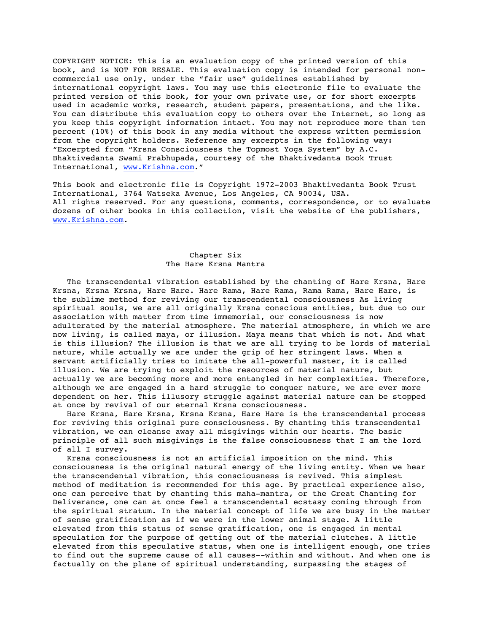COPYRIGHT NOTICE: This is an evaluation copy of the printed version of this book, and is NOT FOR RESALE. This evaluation copy is intended for personal noncommercial use only, under the "fair use" guidelines established by international copyright laws. You may use this electronic file to evaluate the printed version of this book, for your own private use, or for short excerpts used in academic works, research, student papers, presentations, and the like. You can distribute this evaluation copy to others over the Internet, so long as you keep this copyright information intact. You may not reproduce more than ten percent (10%) of this book in any media without the express written permission from the copyright holders. Reference any excerpts in the following way: "Excerpted from "Krsna Consciousness the Topmost Yoga System" by A.C. Bhaktivedanta Swami Prabhupada, courtesy of the Bhaktivedanta Book Trust International, www.Krishna.com."

This book and electronic file is Copyright 1972-2003 Bhaktivedanta Book Trust International, 3764 Watseka Avenue, Los Angeles, CA 90034, USA. All rights reserved. For any questions, comments, correspondence, or to evaluate dozens of other books in this collection, visit the website of the publishers, www.Krishna.com.

#### Chapter Six The Hare Krsna Mantra

 The transcendental vibration established by the chanting of Hare Krsna, Hare Krsna, Krsna Krsna, Hare Hare. Hare Rama, Hare Rama, Rama Rama, Hare Hare, is the sublime method for reviving our transcendental consciousness As living spiritual souls, we are all originally Krsna conscious entities, but due to our association with matter from time immemorial, our consciousness is now adulterated by the material atmosphere. The material atmosphere, in which we are now living, is called maya, or illusion. Maya means that which is not. And what is this illusion? The illusion is that we are all trying to be lords of material nature, while actually we are under the grip of her stringent laws. When a servant artificially tries to imitate the all-powerful master, it is called illusion. We are trying to exploit the resources of material nature, but actually we are becoming more and more entangled in her complexities. Therefore, although we are engaged in a hard struggle to conquer nature, we are ever more dependent on her. This illusory struggle against material nature can be stopped at once by revival of our eternal Krsna consciousness.

 Hare Krsna, Hare Krsna, Krsna Krsna, Hare Hare is the transcendental process for reviving this original pure consciousness. By chanting this transcendental vibration, we can cleanse away all misgivings within our hearts. The basic principle of all such misgivings is the false consciousness that I am the lord of all I survey.

 Krsna consciousness is not an artificial imposition on the mind. This consciousness is the original natural energy of the living entity. When we hear the transcendental vibration, this consciousness is revived. This simplest method of meditation is recommended for this age. By practical experience also, one can perceive that by chanting this maha-mantra, or the Great Chanting for Deliverance, one can at once feel a transcendental ecstasy coming through from the spiritual stratum. In the material concept of life we are busy in the matter of sense gratification as if we were in the lower animal stage. A little elevated from this status of sense gratification, one is engaged in mental speculation for the purpose of getting out of the material clutches. A little elevated from this speculative status, when one is intelligent enough, one tries to find out the supreme cause of all causes--within and without. And when one is factually on the plane of spiritual understanding, surpassing the stages of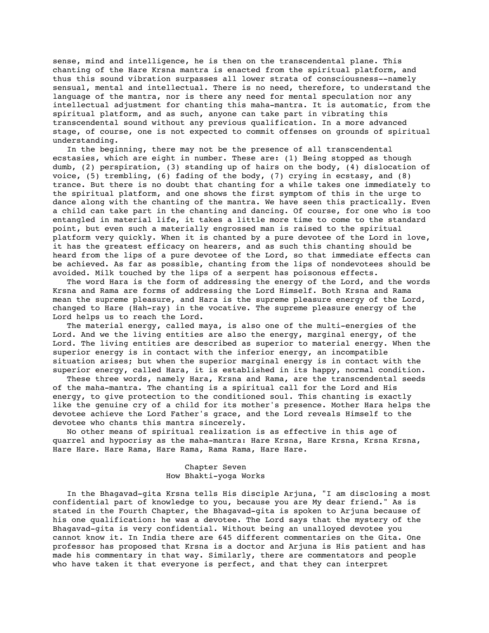sense, mind and intelligence, he is then on the transcendental plane. This chanting of the Hare Krsna mantra is enacted from the spiritual platform, and thus this sound vibration surpasses all lower strata of consciousness--namely sensual, mental and intellectual. There is no need, therefore, to understand the language of the mantra, nor is there any need for mental speculation nor any intellectual adjustment for chanting this maha-mantra. It is automatic, from the spiritual platform, and as such, anyone can take part in vibrating this transcendental sound without any previous qualification. In a more advanced stage, of course, one is not expected to commit offenses on grounds of spiritual understanding.

 In the beginning, there may not be the presence of all transcendental ecstasies, which are eight in number. These are: (1) Being stopped as though dumb, (2) perspiration, (3) standing up of hairs on the body, (4) dislocation of voice, (5) trembling, (6) fading of the body, (7) crying in ecstasy, and (8) trance. But there is no doubt that chanting for a while takes one immediately to the spiritual platform, and one shows the first symptom of this in the urge to dance along with the chanting of the mantra. We have seen this practically. Even a child can take part in the chanting and dancing. Of course, for one who is too entangled in material life, it takes a little more time to come to the standard point, but even such a materially engrossed man is raised to the spiritual platform very quickly. When it is chanted by a pure devotee of the Lord in love, it has the greatest efficacy on hearers, and as such this chanting should be heard from the lips of a pure devotee of the Lord, so that immediate effects can be achieved. As far as possible, chanting from the lips of nondevotees should be avoided. Milk touched by the lips of a serpent has poisonous effects.

 The word Hara is the form of addressing the energy of the Lord, and the words Krsna and Rama are forms of addressing the Lord Himself. Both Krsna and Rama mean the supreme pleasure, and Hara is the supreme pleasure energy of the Lord, changed to Hare (Hah-ray) in the vocative. The supreme pleasure energy of the Lord helps us to reach the Lord.

 The material energy, called maya, is also one of the multi-energies of the Lord. And we the living entities are also the energy, marginal energy, of the Lord. The living entities are described as superior to material energy. When the superior energy is in contact with the inferior energy, an incompatible situation arises; but when the superior marginal energy is in contact with the superior energy, called Hara, it is established in its happy, normal condition.

 These three words, namely Hara, Krsna and Rama, are the transcendental seeds of the maha-mantra. The chanting is a spiritual call for the Lord and His energy, to give protection to the conditioned soul. This chanting is exactly like the genuine cry of a child for its mother's presence. Mother Hara helps the devotee achieve the Lord Father's grace, and the Lord reveals Himself to the devotee who chants this mantra sincerely.

 No other means of spiritual realization is as effective in this age of quarrel and hypocrisy as the maha-mantra: Hare Krsna, Hare Krsna, Krsna Krsna, Hare Hare. Hare Rama, Hare Rama, Rama Rama, Hare Hare.

# Chapter Seven How Bhakti-yoga Works

 In the Bhagavad-gita Krsna tells His disciple Arjuna, "I am disclosing a most confidential part of knowledge to you, because you are My dear friend." As is stated in the Fourth Chapter, the Bhagavad-gita is spoken to Arjuna because of his one qualification: he was a devotee. The Lord says that the mystery of the Bhagavad-gita is very confidential. Without being an unalloyed devotee you cannot know it. In India there are 645 different commentaries on the Gita. One professor has proposed that Krsna is a doctor and Arjuna is His patient and has made his commentary in that way. Similarly, there are commentators and people who have taken it that everyone is perfect, and that they can interpret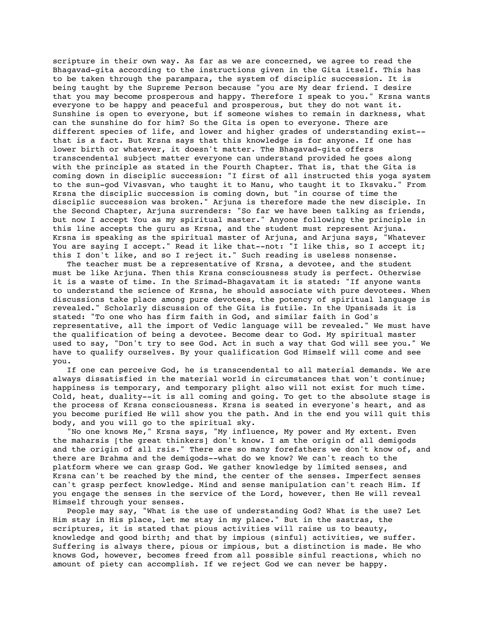scripture in their own way. As far as we are concerned, we agree to read the Bhagavad-gita according to the instructions given in the Gita itself. This has to be taken through the parampara, the system of disciplic succession. It is being taught by the Supreme Person because "you are My dear friend. I desire that you may become prosperous and happy. Therefore I speak to you." Krsna wants everyone to be happy and peaceful and prosperous, but they do not want it. Sunshine is open to everyone, but if someone wishes to remain in darkness, what can the sunshine do for him? So the Gita is open to everyone. There are different species of life, and lower and higher grades of understanding exist- that is a fact. But Krsna says that this knowledge is for anyone. If one has lower birth or whatever, it doesn't matter. The Bhagavad-gita offers transcendental subject matter everyone can understand provided he goes along with the principle as stated in the Fourth Chapter. That is, that the Gita is coming down in disciplic succession: "I first of all instructed this yoga system to the sun-god Vivasvan, who taught it to Manu, who taught it to Iksvaku." From Krsna the disciplic succession is coming down, but "in course of time the disciplic succession was broken." Arjuna is therefore made the new disciple. In the Second Chapter, Arjuna surrenders: "So far we have been talking as friends, but now I accept You as my spiritual master." Anyone following the principle in this line accepts the guru as Krsna, and the student must represent Arjuna. Krsna is speaking as the spiritual master of Arjuna, and Arjuna says, "Whatever You are saying I accept." Read it like that--not: "I like this, so I accept it; this I don't like, and so I reject it." Such reading is useless nonsense.

 The teacher must be a representative of Krsna, a devotee, and the student must be like Arjuna. Then this Krsna consciousness study is perfect. Otherwise it is a waste of time. In the Srimad-Bhagavatam it is stated: "If anyone wants to understand the science of Krsna, he should associate with pure devotees. When discussions take place among pure devotees, the potency of spiritual language is revealed." Scholarly discussion of the Gita is futile. In the Upanisads it is stated: "To one who has firm faith in God, and similar faith in God's representative, all the import of Vedic language will be revealed." We must have the qualification of being a devotee. Become dear to God. My spiritual master used to say, "Don't try to see God. Act in such a way that God will see you." We have to qualify ourselves. By your qualification God Himself will come and see you.

 If one can perceive God, he is transcendental to all material demands. We are always dissatisfied in the material world in circumstances that won't continue; happiness is temporary, and temporary plight also will not exist for much time. Cold, heat, duality--it is all coming and going. To get to the absolute stage is the process of Krsna consciousness. Krsna is seated in everyone's heart, and as you become purified He will show you the path. And in the end you will quit this body, and you will go to the spiritual sky.

 "No one knows Me," Krsna says, "My influence, My power and My extent. Even the maharsis [the great thinkers] don't know. I am the origin of all demigods and the origin of all rsis." There are so many forefathers we don't know of, and there are Brahma and the demigods--what do we know? We can't reach to the platform where we can grasp God. We gather knowledge by limited senses, and Krsna can't be reached by the mind, the center of the senses. Imperfect senses can't grasp perfect knowledge. Mind and sense manipulation can't reach Him. If you engage the senses in the service of the Lord, however, then He will reveal Himself through your senses.

 People may say, "What is the use of understanding God? What is the use? Let Him stay in His place, let me stay in my place." But in the sastras, the scriptures, it is stated that pious activities will raise us to beauty, knowledge and good birth; and that by impious (sinful) activities, we suffer. Suffering is always there, pious or impious, but a distinction is made. He who knows God, however, becomes freed from all possible sinful reactions, which no amount of piety can accomplish. If we reject God we can never be happy.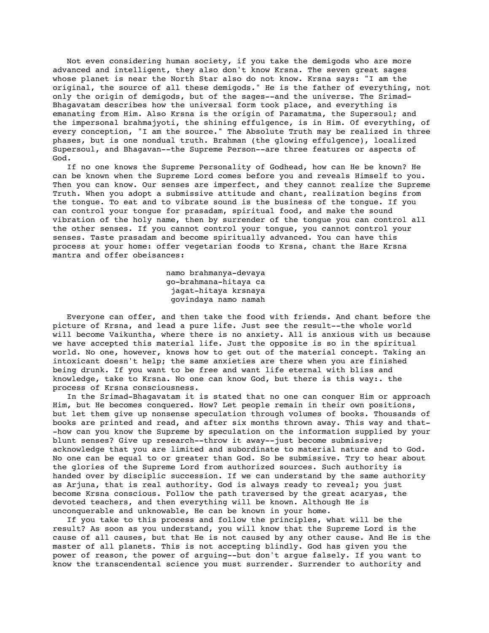Not even considering human society, if you take the demigods who are more advanced and intelligent, they also don't know Krsna. The seven great sages whose planet is near the North Star also do not know. Krsna says: "I am the original, the source of all these demigods." He is the father of everything, not only the origin of demigods, but of the sages--and the universe. The Srimad-Bhagavatam describes how the universal form took place, and everything is emanating from Him. Also Krsna is the origin of Paramatma, the Supersoul; and the impersonal brahmajyoti, the shining effulgence, is in Him. Of everything, of every conception, "I am the source." The Absolute Truth may be realized in three phases, but is one nondual truth. Brahman (the glowing effulgence), localized Supersoul, and Bhagavan--the Supreme Person--are three features or aspects of God.

 If no one knows the Supreme Personality of Godhead, how can He be known? He can be known when the Supreme Lord comes before you and reveals Himself to you. Then you can know. Our senses are imperfect, and they cannot realize the Supreme Truth. When you adopt a submissive attitude and chant, realization begins from the tongue. To eat and to vibrate sound is the business of the tongue. If you can control your tongue for prasadam, spiritual food, and make the sound vibration of the holy name, then by surrender of the tongue you can control all the other senses. If you cannot control your tongue, you cannot control your senses. Taste prasadam and become spiritually advanced. You can have this process at your home: offer vegetarian foods to Krsna, chant the Hare Krsna mantra and offer obeisances:

> namo brahmanya-devaya go-brahmana-hitaya ca jagat-hitaya krsnaya govindaya namo namah

 Everyone can offer, and then take the food with friends. And chant before the picture of Krsna, and lead a pure life. Just see the result--the whole world will become Vaikuntha, where there is no anxiety. All is anxious with us because we have accepted this material life. Just the opposite is so in the spiritual world. No one, however, knows how to get out of the material concept. Taking an intoxicant doesn't help; the same anxieties are there when you are finished being drunk. If you want to be free and want life eternal with bliss and knowledge, take to Krsna. No one can know God, but there is this way:. the process of Krsna consciousness.

 In the Srimad-Bhagavatam it is stated that no one can conquer Him or approach Him, but He becomes conquered. How? Let people remain in their own positions, but let them give up nonsense speculation through volumes of books. Thousands of books are printed and read, and after six months thrown away. This way and that- -how can you know the Supreme by speculation on the information supplied by your blunt senses? Give up research--throw it away--just become submissive; acknowledge that you are limited and subordinate to material nature and to God. No one can be equal to or greater than God. So be submissive. Try to hear about the glories of the Supreme Lord from authorized sources. Such authority is handed over by disciplic succession. If we can understand by the same authority as Arjuna, that is real authority. God is always ready to reveal; you just become Krsna conscious. Follow the path traversed by the great acaryas, the devoted teachers, and then everything will be known. Although He is unconquerable and unknowable, He can be known in your home.

 If you take to this process and follow the principles, what will be the result? As soon as you understand, you will know that the Supreme Lord is the cause of all causes, but that He is not caused by any other cause. And He is the master of all planets. This is not accepting blindly. God has given you the power of reason, the power of arguing--but don't argue falsely. If you want to know the transcendental science you must surrender. Surrender to authority and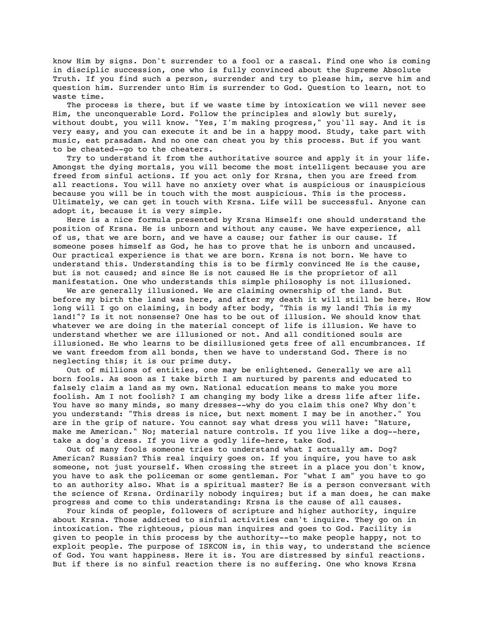know Him by signs. Don't surrender to a fool or a rascal. Find one who is coming in disciplic succession, one who is fully convinced about the Supreme Absolute Truth. If you find such a person, surrender and try to please him, serve him and question him. Surrender unto Him is surrender to God. Question to learn, not to waste time.

 The process is there, but if we waste time by intoxication we will never see Him, the unconquerable Lord. Follow the principles and slowly but surely, without doubt, you will know. "Yes, I'm making progress," you'll say. And it is very easy, and you can execute it and be in a happy mood. Study, take part with music, eat prasadam. And no one can cheat you by this process. But if you want to be cheated--go to the cheaters.

 Try to understand it from the authoritative source and apply it in your life. Amongst the dying mortals, you will become the most intelligent because you are freed from sinful actions. If you act only for Krsna, then you are freed from all reactions. You will have no anxiety over what is auspicious or inauspicious because you will be in touch with the most auspicious. This is the process. Ultimately, we can get in touch with Krsna. Life will be successful. Anyone can adopt it, because it is very simple.

 Here is a nice formula presented by Krsna Himself: one should understand the position of Krsna. He is unborn and without any cause. We have experience, all of us, that we are born, and we have a cause; our father is our cause. If someone poses himself as God, he has to prove that he is unborn and uncaused. Our practical experience is that we are born. Krsna is not born. We have to understand this. Understanding this is to be firmly convinced He is the cause, but is not caused; and since He is not caused He is the proprietor of all manifestation. One who understands this simple philosophy is not illusioned.

 We are generally illusioned. We are claiming ownership of the land. But before my birth the land was here, and after my death it will still be here. How long will I go on claiming, in body after body, "This is my land! This is my land!"? Is it not nonsense? One has to be out of illusion. We should know that whatever we are doing in the material concept of life is illusion. We have to understand whether we are illusioned or not. And all conditioned souls are illusioned. He who learns to be disillusioned gets free of all encumbrances. If we want freedom from all bonds, then we have to understand God. There is no neglecting this; it is our prime duty.

 Out of millions of entities, one may be enlightened. Generally we are all born fools. As soon as I take birth I am nurtured by parents and educated to falsely claim a land as my own. National education means to make you more foolish. Am I not foolish? I am changing my body like a dress life after life. You have so many minds, so many dresses--why do you claim this one? Why don't you understand: "This dress is nice, but next moment I may be in another." You are in the grip of nature. You cannot say what dress you will have: "Nature, make me American." No; material nature controls. If you live like a dog--here, take a dog's dress. If you live a godly life-here, take God.

 Out of many fools someone tries to understand what I actually am. Dog? American? Russian? This real inquiry goes on. If you inquire, you have to ask someone, not just yourself. When crossing the street in a place you don't know, you have to ask the policeman or some gentleman. For "what I am" you have to go to an authority also. What is a spiritual master? He is a person conversant with the science of Krsna. Ordinarily nobody inquires; but if a man does, he can make progress and come to this understanding: Krsna is the cause of all causes.

 Four kinds of people, followers of scripture and higher authority, inquire about Krsna. Those addicted to sinful activities can't inquire. They go on in intoxication. The righteous, pious man inquires and goes to God. Facility is given to people in this process by the authority--to make people happy, not to exploit people. The purpose of ISKCON is, in this way, to understand the science of God. You want happiness. Here it is. You are distressed by sinful reactions. But if there is no sinful reaction there is no suffering. One who knows Krsna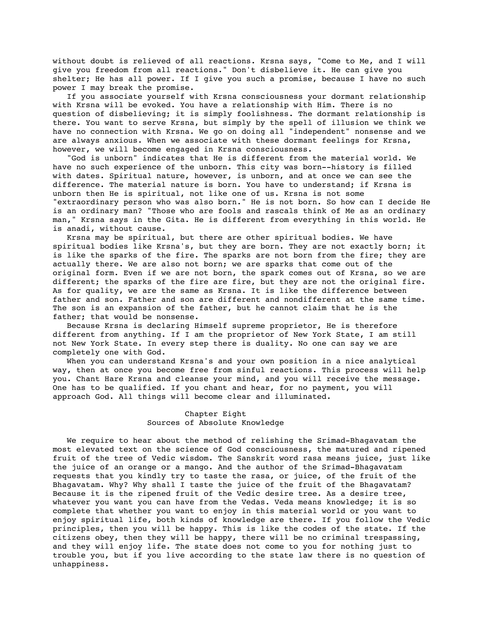without doubt is relieved of all reactions. Krsna says, "Come to Me, and I will give you freedom from all reactions." Don't disbelieve it. He can give you shelter; He has all power. If I give you such a promise, because I have no such power I may break the promise.

 If you associate yourself with Krsna consciousness your dormant relationship with Krsna will be evoked. You have a relationship with Him. There is no question of disbelieving; it is simply foolishness. The dormant relationship is there. You want to serve Krsna, but simply by the spell of illusion we think we have no connection with Krsna. We go on doing all "independent" nonsense and we are always anxious. When we associate with these dormant feelings for Krsna, however, we will become engaged in Krsna consciousness.

 "God is unborn" indicates that He is different from the material world. We have no such experience of the unborn. This city was born--history is filled with dates. Spiritual nature, however, is unborn, and at once we can see the difference. The material nature is born. You have to understand; if Krsna is unborn then He is spiritual, not like one of us. Krsna is not some "extraordinary person who was also born." He is not born. So how can I decide He is an ordinary man? "Those who are fools and rascals think of Me as an ordinary man," Krsna says in the Gita. He is different from everything in this world. He is anadi, without cause.

 Krsna may be spiritual, but there are other spiritual bodies. We have spiritual bodies like Krsna's, but they are born. They are not exactly born; it is like the sparks of the fire. The sparks are not born from the fire; they are actually there. We are also not born; we are sparks that come out of the original form. Even if we are not born, the spark comes out of Krsna, so we are different; the sparks of the fire are fire, but they are not the original fire. As for quality, we are the same as Krsna. It is like the difference between father and son. Father and son are different and nondifferent at the same time. The son is an expansion of the father, but he cannot claim that he is the father; that would be nonsense.

 Because Krsna is declaring Himself supreme proprietor, He is therefore different from anything. If I am the proprietor of New York State, I am still not New York State. In every step there is duality. No one can say we are completely one with God.

 When you can understand Krsna's and your own position in a nice analytical way, then at once you become free from sinful reactions. This process will help you. Chant Hare Krsna and cleanse your mind, and you will receive the message. One has to be qualified. If you chant and hear, for no payment, you will approach God. All things will become clear and illuminated.

# Chapter Eight Sources of Absolute Knowledge

 We require to hear about the method of relishing the Srimad-Bhagavatam the most elevated text on the science of God consciousness, the matured and ripened fruit of the tree of Vedic wisdom. The Sanskrit word rasa means juice, just like the juice of an orange or a mango. And the author of the Srimad-Bhagavatam requests that you kindly try to taste the rasa, or juice, of the fruit of the Bhagavatam. Why? Why shall I taste the juice of the fruit of the Bhagavatam? Because it is the ripened fruit of the Vedic desire tree. As a desire tree, whatever you want you can have from the Vedas. Veda means knowledge; it is so complete that whether you want to enjoy in this material world or you want to enjoy spiritual life, both kinds of knowledge are there. If you follow the Vedic principles, then you will be happy. This is like the codes of the state. If the citizens obey, then they will be happy, there will be no criminal trespassing, and they will enjoy life. The state does not come to you for nothing just to trouble you, but if you live according to the state law there is no question of unhappiness.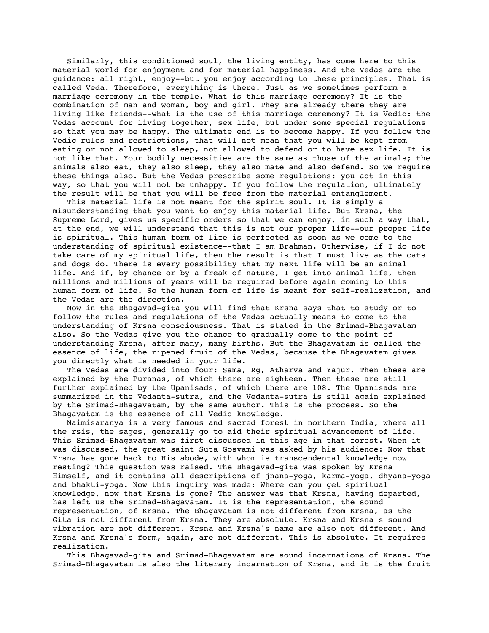Similarly, this conditioned soul, the living entity, has come here to this material world for enjoyment and for material happiness. And the Vedas are the guidance: all right, enjoy--but you enjoy according to these principles. That is called Veda. Therefore, everything is there. Just as we sometimes perform a marriage ceremony in the temple. What is this marriage ceremony? It is the combination of man and woman, boy and girl. They are already there they are living like friends--what is the use of this marriage ceremony? It is Vedic: the Vedas account for living together, sex life, but under some special regulations so that you may be happy. The ultimate end is to become happy. If you follow the Vedic rules and restrictions, that will not mean that you will be kept from eating or not allowed to sleep, not allowed to defend or to have sex life. It is not like that. Your bodily necessities are the same as those of the animals; the animals also eat, they also sleep, they also mate and also defend. So we require these things also. But the Vedas prescribe some regulations: you act in this way, so that you will not be unhappy. If you follow the regulation, ultimately the result will be that you will be free from the material entanglement.

 This material life is not meant for the spirit soul. It is simply a misunderstanding that you want to enjoy this material life. But Krsna, the Supreme Lord, gives us specific orders so that we can enjoy, in such a way that, at the end, we will understand that this is not our proper life--our proper life is spiritual. This human form of life is perfected as soon as we come to the understanding of spiritual existence--that I am Brahman. Otherwise, if I do not take care of my spiritual life, then the result is that I must live as the cats and dogs do. There is every possibility that my next life will be an animal life. And if, by chance or by a freak of nature, I get into animal life, then millions and millions of years will be required before again coming to this human form of life. So the human form of life is meant for self-realization, and the Vedas are the direction.

 Now in the Bhagavad-gita you will find that Krsna says that to study or to follow the rules and regulations of the Vedas actually means to come to the understanding of Krsna consciousness. That is stated in the Srimad-Bhagavatam also. So the Vedas give you the chance to gradually come to the point of understanding Krsna, after many, many births. But the Bhagavatam is called the essence of life, the ripened fruit of the Vedas, because the Bhagavatam gives you directly what is needed in your life.

 The Vedas are divided into four: Sama, Rg, Atharva and Yajur. Then these are explained by the Puranas, of which there are eighteen. Then these are still further explained by the Upanisads, of which there are 108. The Upanisads are summarized in the Vedanta-sutra, and the Vedanta-sutra is still again explained by the Srimad-Bhagavatam, by the same author. This is the process. So the Bhagavatam is the essence of all Vedic knowledge.

 Naimisaranya is a very famous and sacred forest in northern India, where all the rsis, the sages, generally go to aid their spiritual advancement of life. This Srimad-Bhagavatam was first discussed in this age in that forest. When it was discussed, the great saint Suta Gosvami was asked by his audience: Now that Krsna has gone back to His abode, with whom is transcendental knowledge now resting? This question was raised. The Bhagavad-gita was spoken by Krsna Himself, and it contains all descriptions of jnana-yoga, karma-yoga, dhyana-yoga and bhakti-yoga. Now this inquiry was made: Where can you get spiritual knowledge, now that Krsna is gone? The answer was that Krsna, having departed, has left us the Srimad-Bhagavatam. It is the representation, the sound representation, of Krsna. The Bhagavatam is not different from Krsna, as the Gita is not different from Krsna. They are absolute. Krsna and Krsna's sound vibration are not different. Krsna and Krsna's name are also not different. And Krsna and Krsna's form, again, are not different. This is absolute. It requires realization.

 This Bhagavad-gita and Srimad-Bhagavatam are sound incarnations of Krsna. The Srimad-Bhagavatam is also the literary incarnation of Krsna, and it is the fruit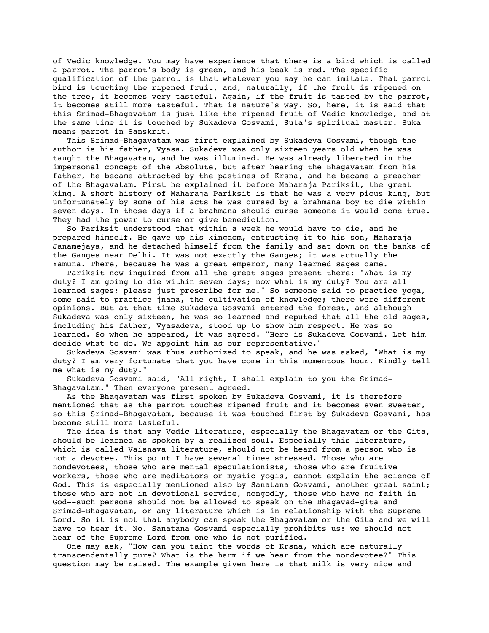of Vedic knowledge. You may have experience that there is a bird which is called a parrot. The parrot's body is green, and his beak is red. The specific qualification of the parrot is that whatever you say he can imitate. That parrot bird is touching the ripened fruit, and, naturally, if the fruit is ripened on the tree, it becomes very tasteful. Again, if the fruit is tasted by the parrot, it becomes still more tasteful. That is nature's way. So, here, it is said that this Srimad-Bhagavatam is just like the ripened fruit of Vedic knowledge, and at the same time it is touched by Sukadeva Gosvami, Suta's spiritual master. Suka means parrot in Sanskrit.

 This Srimad-Bhagavatam was first explained by Sukadeva Gosvami, though the author is his father, Vyasa. Sukadeva was only sixteen years old when he was taught the Bhagavatam, and he was illumined. He was already liberated in the impersonal concept of the Absolute, but after hearing the Bhagavatam from his father, he became attracted by the pastimes of Krsna, and he became a preacher of the Bhagavatam. First he explained it before Maharaja Pariksit, the great king. A short history of Maharaja Pariksit is that he was a very pious king, but unfortunately by some of his acts he was cursed by a brahmana boy to die within seven days. In those days if a brahmana should curse someone it would come true. They had the power to curse or give benediction.

 So Pariksit understood that within a week he would have to die, and he prepared himself. He gave up his kingdom, entrusting it to his son, Maharaja Janamejaya, and he detached himself from the family and sat down on the banks of the Ganges near Delhi. It was not exactly the Ganges; it was actually the Yamuna. There, because he was a great emperor, many learned sages came.

 Pariksit now inquired from all the great sages present there: "What is my duty? I am going to die within seven days; now what is my duty? You are all learned sages; please just prescribe for me." So someone said to practice yoga, some said to practice jnana, the cultivation of knowledge; there were different opinions. But at that time Sukadeva Gosvami entered the forest, and although Sukadeva was only sixteen, he was so learned and reputed that all the old sages, including his father, Vyasadeva, stood up to show him respect. He was so learned. So when he appeared, it was agreed. "Here is Sukadeva Gosvami. Let him decide what to do. We appoint him as our representative."

 Sukadeva Gosvami was thus authorized to speak, and he was asked, "What is my duty? I am very fortunate that you have come in this momentous hour. Kindly tell me what is my duty."

 Sukadeva Gosvami said, "All right, I shall explain to you the Srimad-Bhagavatam." Then everyone present agreed.

 As the Bhagavatam was first spoken by Sukadeva Gosvami, it is therefore mentioned that as the parrot touches ripened fruit and it becomes even sweeter, so this Srimad-Bhagavatam, because it was touched first by Sukadeva Gosvami, has become still more tasteful.

 The idea is that any Vedic literature, especially the Bhagavatam or the Gita, should be learned as spoken by a realized soul. Especially this literature, which is called Vaisnava literature, should not be heard from a person who is not a devotee. This point I have several times stressed. Those who are nondevotees, those who are mental speculationists, those who are fruitive workers, those who are meditators or mystic yogis, cannot explain the science of God. This is especially mentioned also by Sanatana Gosvami, another great saint; those who are not in devotional service, nongodly, those who have no faith in God--such persons should not be allowed to speak on the Bhagavad-gita and Srimad-Bhagavatam, or any literature which is in relationship with the Supreme Lord. So it is not that anybody can speak the Bhagavatam or the Gita and we will have to hear it. No. Sanatana Gosvami especially prohibits us: we should not hear of the Supreme Lord from one who is not purified.

 One may ask, "How can you taint the words of Krsna, which are naturally transcendentally pure? What is the harm if we hear from the nondevotee?" This question may be raised. The example given here is that milk is very nice and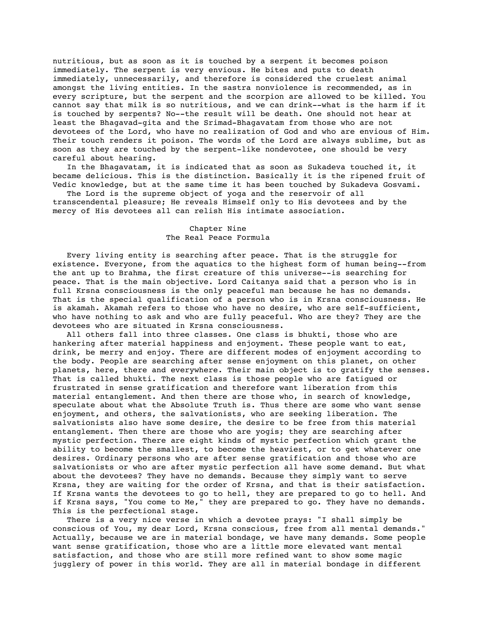nutritious, but as soon as it is touched by a serpent it becomes poison immediately. The serpent is very envious. He bites and puts to death immediately, unnecessarily, and therefore is considered the cruelest animal amongst the living entities. In the sastra nonviolence is recommended, as in every scripture, but the serpent and the scorpion are allowed to be killed. You cannot say that milk is so nutritious, and we can drink--what is the harm if it is touched by serpents? No--the result will be death. One should not hear at least the Bhagavad-gita and the Srimad-Bhagavatam from those who are not devotees of the Lord, who have no realization of God and who are envious of Him. Their touch renders it poison. The words of the Lord are always sublime, but as soon as they are touched by the serpent-like nondevotee, one should be very careful about hearing.

 In the Bhagavatam, it is indicated that as soon as Sukadeva touched it, it became delicious. This is the distinction. Basically it is the ripened fruit of Vedic knowledge, but at the same time it has been touched by Sukadeva Gosvami.

The Lord is the supreme object of yoga and the reservoir of all transcendental pleasure; He reveals Himself only to His devotees and by the mercy of His devotees all can relish His intimate association.

#### Chapter Nine The Real Peace Formula

 Every living entity is searching after peace. That is the struggle for existence. Everyone, from the aquatics to the highest form of human being--from the ant up to Brahma, the first creature of this universe--is searching for peace. That is the main objective. Lord Caitanya said that a person who is in full Krsna consciousness is the only peaceful man because he has no demands. That is the special qualification of a person who is in Krsna consciousness. He is akamah. Akamah refers to those who have no desire, who are self-sufficient, who have nothing to ask and who are fully peaceful. Who are they? They are the devotees who are situated in Krsna consciousness.

 All others fall into three classes. One class is bhukti, those who are hankering after material happiness and enjoyment. These people want to eat, drink, be merry and enjoy. There are different modes of enjoyment according to the body. People are searching after sense enjoyment on this planet, on other planets, here, there and everywhere. Their main object is to gratify the senses. That is called bhukti. The next class is those people who are fatigued or frustrated in sense gratification and therefore want liberation from this material entanglement. And then there are those who, in search of knowledge, speculate about what the Absolute Truth is. Thus there are some who want sense enjoyment, and others, the salvationists, who are seeking liberation. The salvationists also have some desire, the desire to be free from this material entanglement. Then there are those who are yogis; they are searching after mystic perfection. There are eight kinds of mystic perfection which grant the ability to become the smallest, to become the heaviest, or to get whatever one desires. Ordinary persons who are after sense gratification and those who are salvationists or who are after mystic perfection all have some demand. But what about the devotees? They have no demands. Because they simply want to serve Krsna, they are waiting for the order of Krsna, and that is their satisfaction. If Krsna wants the devotees to go to hell, they are prepared to go to hell. And if Krsna says, "You come to Me," they are prepared to go. They have no demands. This is the perfectional stage.

 There is a very nice verse in which a devotee prays: "I shall simply be conscious of You, my dear Lord, Krsna conscious, free from all mental demands." Actually, because we are in material bondage, we have many demands. Some people want sense gratification, those who are a little more elevated want mental satisfaction, and those who are still more refined want to show some magic jugglery of power in this world. They are all in material bondage in different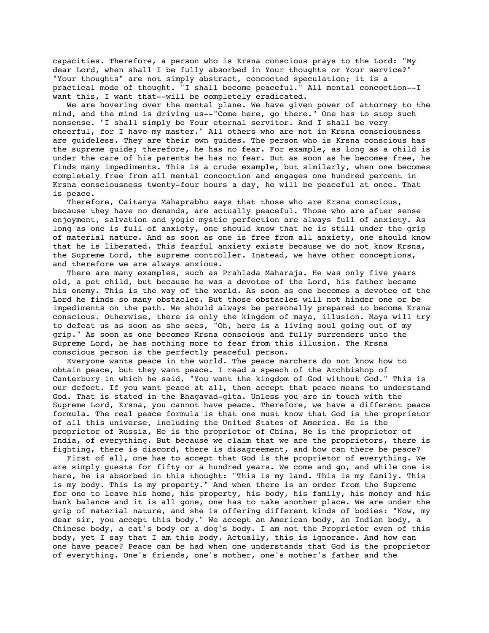capacities. Therefore, a person who is Krsna conscious prays to the Lord: "My dear Lord, when shall I be fully absorbed in Your thoughts or Your service?" "Your thoughts" are not simply abstract, concocted speculation; it is a practical mode of thought. "I shall become peaceful." All mental concoction--I want this, I want that--will be completely eradicated.

 We are hovering over the mental plane. We have given power of attorney to the mind, and the mind is driving us--"Come here, go there." One has to stop such nonsense. "I shall simply be Your eternal servitor. And I shall be very cheerful, for I have my master." All others who are not in Krsna consciousness are guideless. They are their own guides. The person who is Krsna conscious has the supreme guide; therefore, he has no fear. For example, as long as a child is under the care of his parents he has no fear. But as soon as he becomes free, he finds many impediments. This is a crude example, but similarly, when one becomes completely free from all mental concoction and engages one hundred percent in Krsna consciousness twenty-four hours a day, he will be peaceful at once. That is peace.

 Therefore, Caitanya Mahaprabhu says that those who are Krsna conscious, because they have no demands, are actually peaceful. Those who are after sense enjoyment, salvation and yogic mystic perfection are always full of anxiety. As long as one is full of anxiety, one should know that he is still under the grip of material nature. And as soon as one is free from all anxiety, one should know that he is liberated. This fearful anxiety exists because we do not know Krsna, the Supreme Lord, the supreme controller. Instead, we have other conceptions, and therefore we are always anxious.

 There are many examples, such as Prahlada Maharaja. He was only five years old, a pet child, but because he was a devotee of the Lord, his father became his enemy. This is the way of the world. As soon as one becomes a devotee of the Lord he finds so many obstacles. But those obstacles will not hinder one or be impediments on the path. We should always be personally prepared to become Krsna conscious. Otherwise, there is only the kingdom of maya, illusion. Maya will try to defeat us as soon as she sees, "Oh, here is a living soul going out of my grip." As soon as one becomes Krsna conscious and fully surrenders unto the Supreme Lord, he has nothing more to fear from this illusion. The Krsna conscious person is the perfectly peaceful person.

 Everyone wants peace in the world. The peace marchers do not know how to obtain peace, but they want peace. I read a speech of the Archbishop of Canterbury in which he said, "You want the kingdom of God without God." This is our defect. If you want peace at all, then accept that peace means to understand God. That is stated in the Bhagavad-gita. Unless you are in touch with the Supreme Lord, Krsna, you cannot have peace. Therefore, we have a different peace formula. The real peace formula is that one must know that God is the proprietor of all this universe, including the United States of America. He is the proprietor of Russia, He is the proprietor of China, He is the proprietor of India, of everything. But because we claim that we are the proprietors, there is fighting, there is discord, there is disagreement, and how can there be peace?

 First of all, one has to accept that God is the proprietor of everything. We are simply guests for fifty or a hundred years. We come and go, and while one is here, he is absorbed in this thought: "This is my land. This is my family. This is my body. This is my property." And when there is an order from the Supreme for one to leave his home, his property, his body, his family, his money and his bank balance and it is all gone, one has to take another place. We are under the grip of material nature, and she is offering different kinds of bodies: "Now, my dear sir, you accept this body." We accept an American body, an Indian body, a Chinese body, a cat's body or a dog's body. I am not the Proprietor even of this body, yet I say that I am this body. Actually, this is ignorance. And how can one have peace? Peace can be had when one understands that God is the proprietor of everything. One's friends, one's mother, one's mother's father and the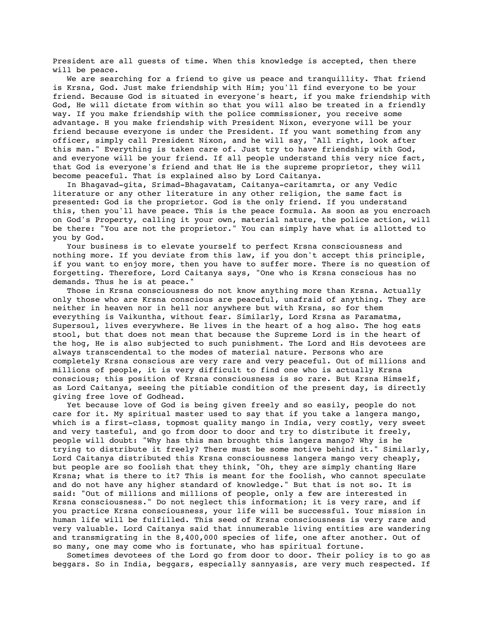President are all guests of time. When this knowledge is accepted, then there will be peace.

 We are searching for a friend to give us peace and tranquillity. That friend is Krsna, God. Just make friendship with Him; you'll find everyone to be your friend. Because God is situated in everyone's heart, if you make friendship with God, He will dictate from within so that you will also be treated in a friendly way. If you make friendship with the police commissioner, you receive some advantage. H you make friendship with President Nixon, everyone will be your friend because everyone is under the President. If you want something from any officer, simply call President Nixon, and he will say, "All right, look after this man." Everything is taken care of. Just try to have friendship with God, and everyone will be your friend. If all people understand this very nice fact, that God is everyone's friend and that He is the supreme proprietor, they will become peaceful. That is explained also by Lord Caitanya.

 In Bhagavad-gita, Srimad-Bhagavatam, Caitanya-caritamrta, or any Vedic literature or any other literature in any other religion, the same fact is presented: God is the proprietor. God is the only friend. If you understand this, then you'll have peace. This is the peace formula. As soon as you encroach on God's Property, calling it your own, material nature, the police action, will be there: "You are not the proprietor." You can simply have what is allotted to you by God.

 Your business is to elevate yourself to perfect Krsna consciousness and nothing more. If you deviate from this law, if you don't accept this principle, if you want to enjoy more, then you have to suffer more. There is no question of forgetting. Therefore, Lord Caitanya says, "One who is Krsna conscious has no demands. Thus he is at peace."

 Those in Krsna consciousness do not know anything more than Krsna. Actually only those who are Krsna conscious are peaceful, unafraid of anything. They are neither in heaven nor in hell nor anywhere but with Krsna, so for them everything is Vaikuntha, without fear. Similarly, Lord Krsna as Paramatma, Supersoul, lives everywhere. He lives in the heart of a hog also. The hog eats stool, but that does not mean that because the Supreme Lord is in the heart of the hog, He is also subjected to such punishment. The Lord and His devotees are always transcendental to the modes of material nature. Persons who are completely Krsna conscious are very rare and very peaceful. Out of millions and millions of people, it is very difficult to find one who is actually Krsna conscious; this position of Krsna consciousness is so rare. But Krsna Himself, as Lord Caitanya, seeing the pitiable condition of the present day, is directly giving free love of Godhead.

 Yet because love of God is being given freely and so easily, people do not care for it. My spiritual master used to say that if you take a langera mango, which is a first-class, topmost quality mango in India, very costly, very sweet and very tasteful, and go from door to door and try to distribute it freely, people will doubt: "Why has this man brought this langera mango? Why is he trying to distribute it freely? There must be some motive behind it." Similarly, Lord Caitanya distributed this Krsna consciousness langera mango very cheaply, but people are so foolish that they think, "Oh, they are simply chanting Hare Krsna; what is there to it? This is meant for the foolish, who cannot speculate and do not have any higher standard of knowledge." But that is not so. It is said: "Out of millions and millions of people, only a few are interested in Krsna consciousness." Do not neglect this information; it is very rare, and if you practice Krsna consciousness, your life will be successful. Your mission in human life will be fulfilled. This seed of Krsna consciousness is very rare and very valuable. Lord Caitanya said that innumerable living entities are wandering and transmigrating in the 8,400,000 species of life, one after another. Out of so many, one may come who is fortunate, who has spiritual fortune.

 Sometimes devotees of the Lord go from door to door. Their policy is to go as beggars. So in India, beggars, especially sannyasis, are very much respected. If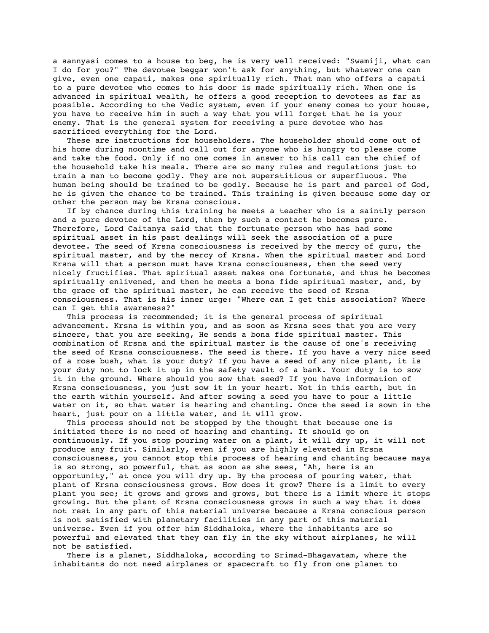a sannyasi comes to a house to beg, he is very well received: "Swamiji, what can I do for you?" The devotee beggar won't ask for anything, but whatever one can give, even one capati, makes one spiritually rich. That man who offers a capati to a pure devotee who comes to his door is made spiritually rich. When one is advanced in spiritual wealth, he offers a good reception to devotees as far as possible. According to the Vedic system, even if your enemy comes to your house, you have to receive him in such a way that you will forget that he is your enemy. That is the general system for receiving a pure devotee who has sacrificed everything for the Lord.

 These are instructions for householders. The householder should come out of his home during noontime and call out for anyone who is hungry to please come and take the food. Only if no one comes in answer to his call can the chief of the household take his meals. There are so many rules and regulations just to train a man to become godly. They are not superstitious or superfluous. The human being should be trained to be godly. Because he is part and parcel of God, he is given the chance to be trained. This training is given because some day or other the person may be Krsna conscious.

 If by chance during this training he meets a teacher who is a saintly person and a pure devotee of the Lord, then by such a contact he becomes pure. Therefore, Lord Caitanya said that the fortunate person who has had some spiritual asset in his past dealings will seek the association of a pure devotee. The seed of Krsna consciousness is received by the mercy of guru, the spiritual master, and by the mercy of Krsna. When the spiritual master and Lord Krsna will that a person must have Krsna consciousness, then the seed very nicely fructifies. That spiritual asset makes one fortunate, and thus he becomes spiritually enlivened, and then he meets a bona fide spiritual master, and, by the grace of the spiritual master, he can receive the seed of Krsna consciousness. That is his inner urge: "Where can I get this association? Where can I get this awareness?"

 This process is recommended; it is the general process of spiritual advancement. Krsna is within you, and as soon as Krsna sees that you are very sincere, that you are seeking, He sends a bona fide spiritual master. This combination of Krsna and the spiritual master is the cause of one's receiving the seed of Krsna consciousness. The seed is there. If you have a very nice seed of a rose bush, what is your duty? If you have a seed of any nice plant, it is your duty not to lock it up in the safety vault of a bank. Your duty is to sow it in the ground. Where should you sow that seed? If you have information of Krsna consciousness, you just sow it in your heart. Not in this earth, but in the earth within yourself. And after sowing a seed you have to pour a little water on it, so that water is hearing and chanting. Once the seed is sown in the heart, just pour on a little water, and it will grow.

 This process should not be stopped by the thought that because one is initiated there is no need of hearing and chanting. It should go on continuously. If you stop pouring water on a plant, it will dry up, it will not produce any fruit. Similarly, even if you are highly elevated in Krsna consciousness, you cannot stop this process of hearing and chanting because maya is so strong, so powerful, that as soon as she sees, "Ah, here is an opportunity," at once you will dry up. By the process of pouring water, that plant of Krsna consciousness grows. How does it grow? There is a limit to every plant you see; it grows and grows and grows, but there is a limit where it stops growing. But the plant of Krsna consciousness grows in such a way that it does not rest in any part of this material universe because a Krsna conscious person is not satisfied with planetary facilities in any part of this material universe. Even if you offer him Siddhaloka, where the inhabitants are so powerful and elevated that they can fly in the sky without airplanes, he will not be satisfied.

 There is a planet, Siddhaloka, according to Srimad-Bhagavatam, where the inhabitants do not need airplanes or spacecraft to fly from one planet to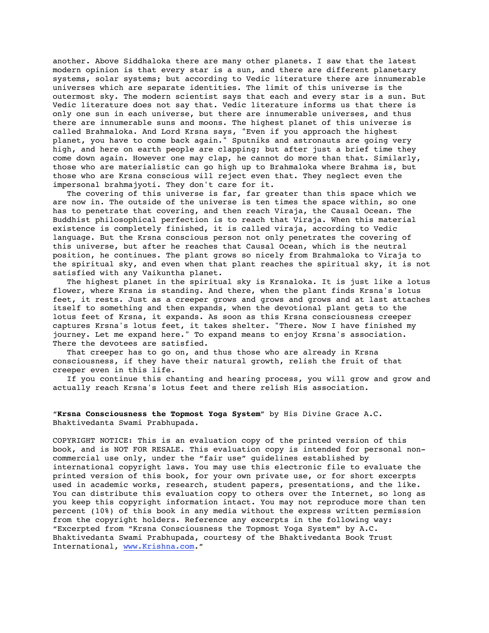another. Above Siddhaloka there are many other planets. I saw that the latest modern opinion is that every star is a sun, and there are different planetary systems, solar systems; but according to Vedic literature there are innumerable universes which are separate identities. The limit of this universe is the outermost sky. The modern scientist says that each and every star is a sun. But Vedic literature does not say that. Vedic literature informs us that there is only one sun in each universe, but there are innumerable universes, and thus there are innumerable suns and moons. The highest planet of this universe is called Brahmaloka. And Lord Krsna says, "Even if you approach the highest planet, you have to come back again." Sputniks and astronauts are going very high, and here on earth people are clapping; but after just a brief time they come down again. However one may clap, he cannot do more than that. Similarly, those who are materialistic can go high up to Brahmaloka where Brahma is, but those who are Krsna conscious will reject even that. They neglect even the impersonal brahmajyoti. They don't care for it.

The covering of this universe is far, far greater than this space which we are now in. The outside of the universe is ten times the space within, so one has to penetrate that covering, and then reach Viraja, the Causal Ocean. The Buddhist philosophical perfection is to reach that Viraja. When this material existence is completely finished, it is called viraja, according to Vedic language. But the Krsna conscious person not only penetrates the covering of this universe, but after he reaches that Causal Ocean, which is the neutral position, he continues. The plant grows so nicely from Brahmaloka to Viraja to the spiritual sky, and even when that plant reaches the spiritual sky, it is not satisfied with any Vaikuntha planet.

 The highest planet in the spiritual sky is Krsnaloka. It is just like a lotus flower, where Krsna is standing. And there, when the plant finds Krsna's lotus feet, it rests. Just as a creeper grows and grows and grows and at last attaches itself to something and then expands, when the devotional plant gets to the lotus feet of Krsna, it expands. As soon as this Krsna consciousness creeper captures Krsna's lotus feet, it takes shelter. "There. Now I have finished my journey. Let me expand here." To expand means to enjoy Krsna's association. There the devotees are satisfied.

 That creeper has to go on, and thus those who are already in Krsna consciousness, if they have their natural growth, relish the fruit of that creeper even in this life.

 If you continue this chanting and hearing process, you will grow and grow and actually reach Krsna's lotus feet and there relish His association.

"**Krsna Consciousness the Topmost Yoga System**" by His Divine Grace A.C. Bhaktivedanta Swami Prabhupada.

COPYRIGHT NOTICE: This is an evaluation copy of the printed version of this book, and is NOT FOR RESALE. This evaluation copy is intended for personal noncommercial use only, under the "fair use" guidelines established by international copyright laws. You may use this electronic file to evaluate the printed version of this book, for your own private use, or for short excerpts used in academic works, research, student papers, presentations, and the like. You can distribute this evaluation copy to others over the Internet, so long as you keep this copyright information intact. You may not reproduce more than ten percent (10%) of this book in any media without the express written permission from the copyright holders. Reference any excerpts in the following way: "Excerpted from "Krsna Consciousness the Topmost Yoga System" by A.C. Bhaktivedanta Swami Prabhupada, courtesy of the Bhaktivedanta Book Trust International, www.Krishna.com."